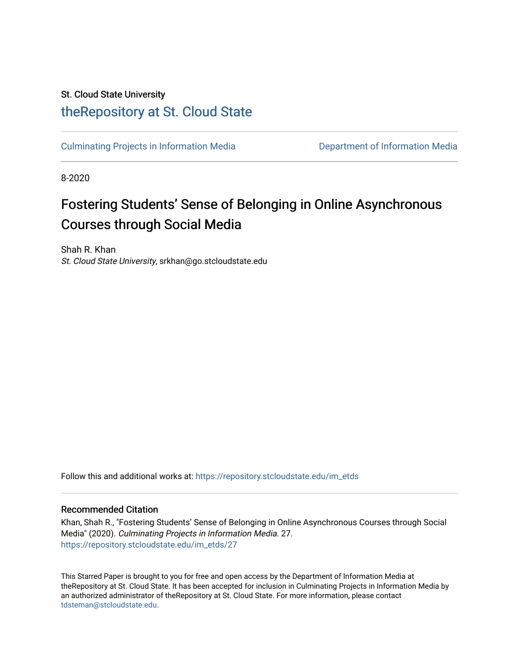## St. Cloud State University [theRepository at St. Cloud State](https://repository.stcloudstate.edu/)

[Culminating Projects in Information Media](https://repository.stcloudstate.edu/im_etds) [Department of Information Media](https://repository.stcloudstate.edu/im) 

8-2020

# Fostering Students' Sense of Belonging in Online Asynchronous Courses through Social Media

Shah R. Khan St. Cloud State University, srkhan@go.stcloudstate.edu

Follow this and additional works at: [https://repository.stcloudstate.edu/im\\_etds](https://repository.stcloudstate.edu/im_etds?utm_source=repository.stcloudstate.edu%2Fim_etds%2F27&utm_medium=PDF&utm_campaign=PDFCoverPages) 

#### Recommended Citation

Khan, Shah R., "Fostering Students' Sense of Belonging in Online Asynchronous Courses through Social Media" (2020). Culminating Projects in Information Media. 27. [https://repository.stcloudstate.edu/im\\_etds/27](https://repository.stcloudstate.edu/im_etds/27?utm_source=repository.stcloudstate.edu%2Fim_etds%2F27&utm_medium=PDF&utm_campaign=PDFCoverPages) 

This Starred Paper is brought to you for free and open access by the Department of Information Media at theRepository at St. Cloud State. It has been accepted for inclusion in Culminating Projects in Information Media by an authorized administrator of theRepository at St. Cloud State. For more information, please contact [tdsteman@stcloudstate.edu](mailto:tdsteman@stcloudstate.edu).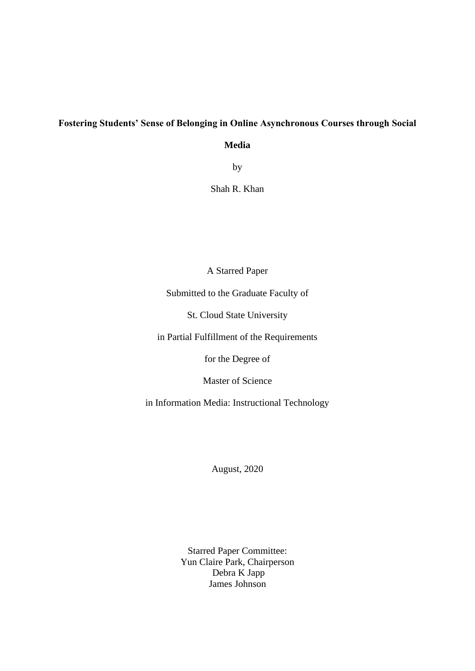## **Fostering Students' Sense of Belonging in Online Asynchronous Courses through Social**

**Media**

by

Shah R. Khan

A Starred Paper

Submitted to the Graduate Faculty of

St. Cloud State University

in Partial Fulfillment of the Requirements

for the Degree of

Master of Science

in Information Media: Instructional Technology

August, 2020

Starred Paper Committee: Yun Claire Park, Chairperson Debra K Japp James Johnson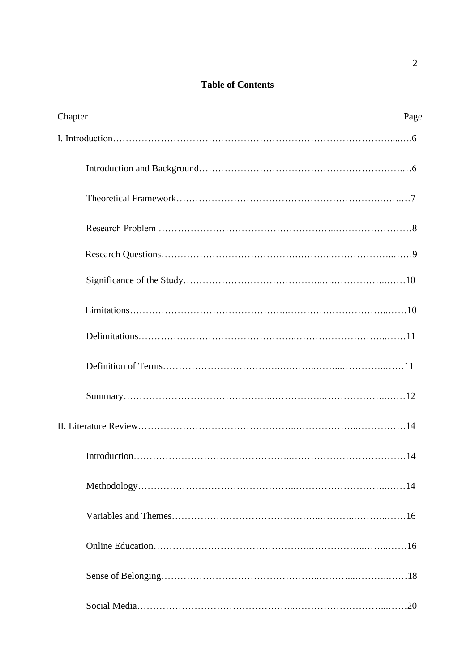## **Table of Contents**

| Chapter<br>Page |
|-----------------|
|                 |
|                 |
|                 |
|                 |
|                 |
|                 |
|                 |
|                 |
|                 |
|                 |
|                 |
|                 |
|                 |
|                 |
|                 |
|                 |
|                 |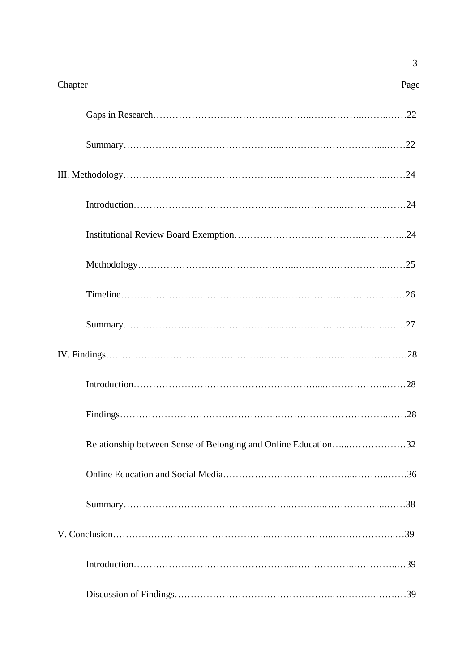| Chapter                                                        | Page |
|----------------------------------------------------------------|------|
|                                                                |      |
|                                                                |      |
|                                                                |      |
|                                                                |      |
|                                                                |      |
|                                                                |      |
|                                                                |      |
|                                                                |      |
|                                                                |      |
|                                                                |      |
|                                                                |      |
| Relationship between Sense of Belonging and Online Education32 |      |
|                                                                |      |
|                                                                |      |
|                                                                |      |
|                                                                |      |
|                                                                |      |

3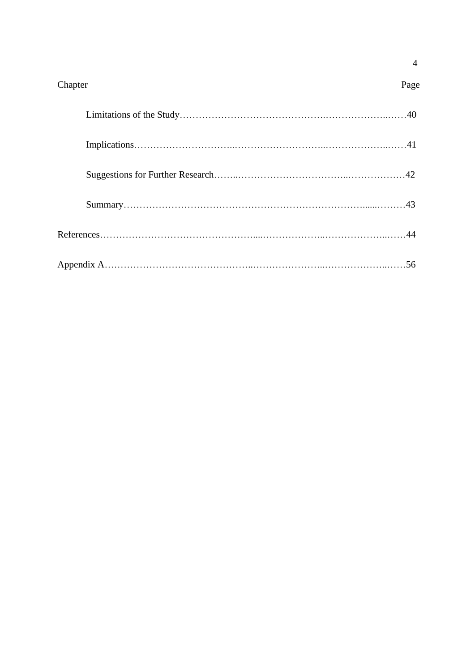| Chapter | Page |
|---------|------|
|         |      |
|         |      |
|         |      |
|         |      |
|         |      |
|         |      |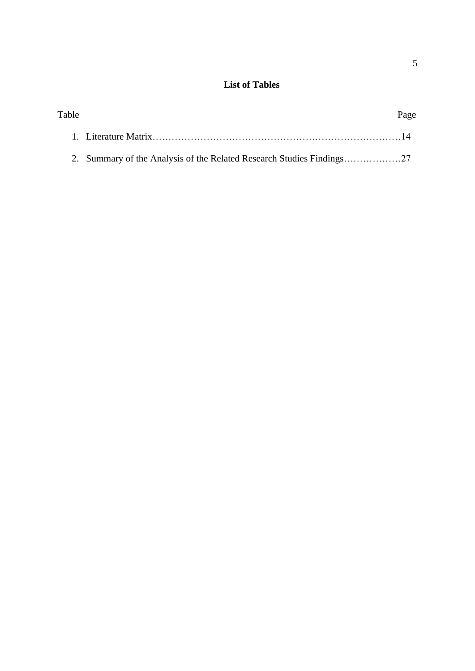## **List of Tables**

| Table | Page |
|-------|------|
|       |      |
|       |      |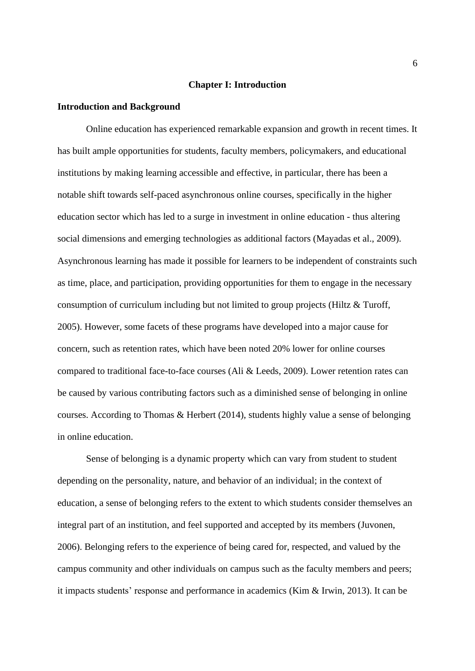#### **Chapter I: Introduction**

#### **Introduction and Background**

Online education has experienced remarkable expansion and growth in recent times. It has built ample opportunities for students, faculty members, policymakers, and educational institutions by making learning accessible and effective, in particular, there has been a notable shift towards self-paced asynchronous online courses, specifically in the higher education sector which has led to a surge in investment in online education - thus altering social dimensions and emerging technologies as additional factors (Mayadas et al., 2009). Asynchronous learning has made it possible for learners to be independent of constraints such as time, place, and participation, providing opportunities for them to engage in the necessary consumption of curriculum including but not limited to group projects (Hiltz & Turoff, 2005). However, some facets of these programs have developed into a major cause for concern, such as retention rates, which have been noted 20% lower for online courses compared to traditional face-to-face courses (Ali & Leeds, 2009). Lower retention rates can be caused by various contributing factors such as a diminished sense of belonging in online courses. According to Thomas & Herbert (2014), students highly value a sense of belonging in online education.

Sense of belonging is a dynamic property which can vary from student to student depending on the personality, nature, and behavior of an individual; in the context of education, a sense of belonging refers to the extent to which students consider themselves an integral part of an institution, and feel supported and accepted by its members (Juvonen, 2006). Belonging refers to the experience of being cared for, respected, and valued by the campus community and other individuals on campus such as the faculty members and peers; it impacts students' response and performance in academics (Kim & Irwin, 2013). It can be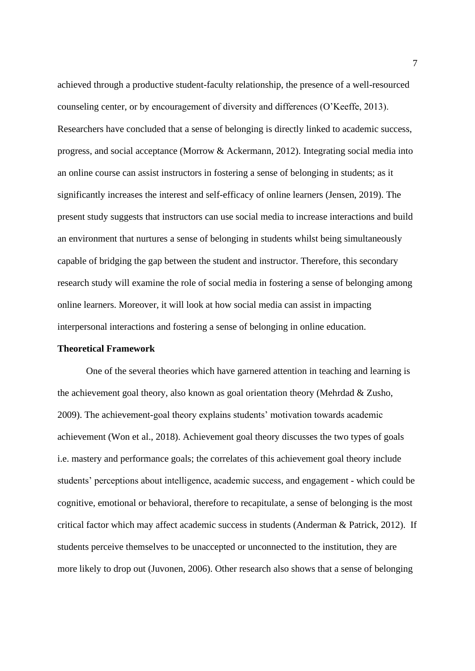achieved through a productive student-faculty relationship, the presence of a well-resourced counseling center, or by encouragement of diversity and differences (O'Keeffe, 2013). Researchers have concluded that a sense of belonging is directly linked to academic success, progress, and social acceptance (Morrow & Ackermann, 2012). Integrating social media into an online course can assist instructors in fostering a sense of belonging in students; as it significantly increases the interest and self-efficacy of online learners (Jensen, 2019). The present study suggests that instructors can use social media to increase interactions and build an environment that nurtures a sense of belonging in students whilst being simultaneously capable of bridging the gap between the student and instructor. Therefore, this secondary research study will examine the role of social media in fostering a sense of belonging among online learners. Moreover, it will look at how social media can assist in impacting interpersonal interactions and fostering a sense of belonging in online education.

#### **Theoretical Framework**

One of the several theories which have garnered attention in teaching and learning is the achievement goal theory, also known as goal orientation theory (Mehrdad & Zusho, 2009). The achievement-goal theory explains students' motivation towards academic achievement (Won et al., 2018). Achievement goal theory discusses the two types of goals i.e. mastery and performance goals; the correlates of this achievement goal theory include students' perceptions about intelligence, academic success, and engagement - which could be cognitive, emotional or behavioral, therefore to recapitulate, a sense of belonging is the most critical factor which may affect academic success in students (Anderman  $\&$  Patrick, 2012). If students perceive themselves to be unaccepted or unconnected to the institution, they are more likely to drop out (Juvonen, 2006). Other research also shows that a sense of belonging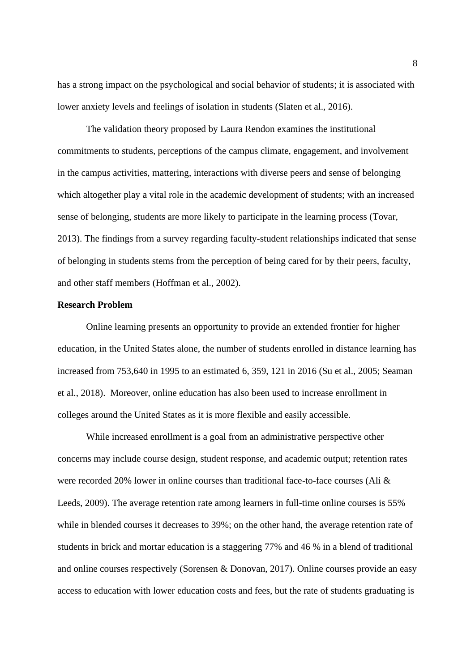has a strong impact on the psychological and social behavior of students; it is associated with lower anxiety levels and feelings of isolation in students (Slaten et al., 2016).

The validation theory proposed by Laura Rendon examines the institutional commitments to students, perceptions of the campus climate, engagement, and involvement in the campus activities, mattering, interactions with diverse peers and sense of belonging which altogether play a vital role in the academic development of students; with an increased sense of belonging, students are more likely to participate in the learning process (Tovar, 2013). The findings from a survey regarding faculty-student relationships indicated that sense of belonging in students stems from the perception of being cared for by their peers, faculty, and other staff members (Hoffman et al., 2002).

#### <span id="page-8-0"></span>**Research Problem**

Online learning presents an opportunity to provide an extended frontier for higher education, in the United States alone, the number of students enrolled in distance learning has increased from 753,640 in 1995 to an estimated 6, 359, 121 in 2016 (Su et al., 2005; Seaman et al., 2018). Moreover, online education has also been used to increase enrollment in colleges around the United States as it is more flexible and easily accessible.

While increased enrollment is a goal from an administrative perspective other concerns may include course design, student response, and academic output; retention rates were recorded 20% lower in online courses than traditional face-to-face courses (Ali & Leeds, 2009). The average retention rate among learners in full-time online courses is 55% while in blended courses it decreases to 39%; on the other hand, the average retention rate of students in brick and mortar education is a staggering 77% and 46 % in a blend of traditional and online courses respectively (Sorensen & Donovan, 2017). Online courses provide an easy access to education with lower education costs and fees, but the rate of students graduating is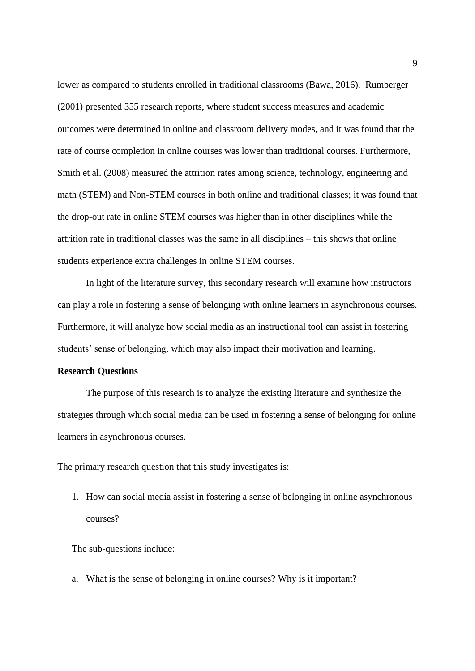lower as compared to students enrolled in traditional classrooms (Bawa, 2016). Rumberger (2001) presented 355 research reports, where student success measures and academic outcomes were determined in online and classroom delivery modes, and it was found that the rate of course completion in online courses was lower than traditional courses. Furthermore, Smith et al. (2008) measured the attrition rates among science, technology, engineering and math (STEM) and Non-STEM courses in both online and traditional classes; it was found that the drop-out rate in online STEM courses was higher than in other disciplines while the attrition rate in traditional classes was the same in all disciplines – this shows that online students experience extra challenges in online STEM courses.

In light of the literature survey, this secondary research will examine how instructors can play a role in fostering a sense of belonging with online learners in asynchronous courses. Furthermore, it will analyze how social media as an instructional tool can assist in fostering students' sense of belonging, which may also impact their motivation and learning.

#### <span id="page-9-0"></span>**Research Questions**

The purpose of this research is to analyze the existing literature and synthesize the strategies through which social media can be used in fostering a sense of belonging for online learners in asynchronous courses.

The primary research question that this study investigates is:

1. How can social media assist in fostering a sense of belonging in online asynchronous courses?

The sub-questions include:

a. What is the sense of belonging in online courses? Why is it important?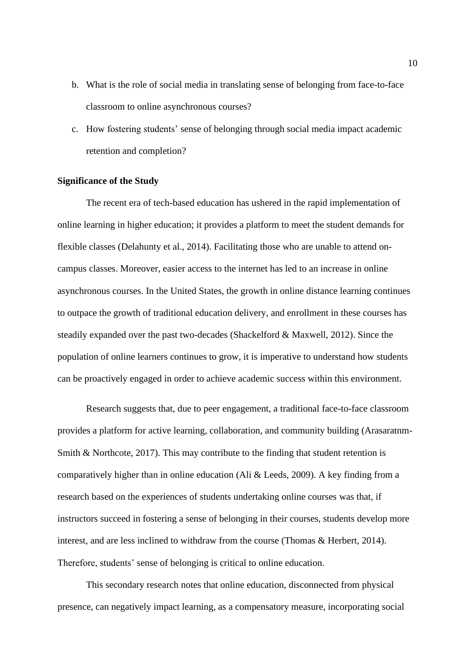- b. What is the role of social media in translating sense of belonging from face-to-face classroom to online asynchronous courses?
- c. How fostering students' sense of belonging through social media impact academic retention and completion?

#### **Significance of the Study**

The recent era of tech-based education has ushered in the rapid implementation of online learning in higher education; it provides a platform to meet the student demands for flexible classes (Delahunty et al., 2014). Facilitating those who are unable to attend oncampus classes. Moreover, easier access to the internet has led to an increase in online asynchronous courses. In the United States, the growth in online distance learning continues to outpace the growth of traditional education delivery, and enrollment in these courses has steadily expanded over the past two-decades (Shackelford & Maxwell, 2012). Since the population of online learners continues to grow, it is imperative to understand how students can be proactively engaged in order to achieve academic success within this environment.

Research suggests that, due to peer engagement, a traditional face-to-face classroom provides a platform for active learning, collaboration, and community building (Arasaratnm-Smith & Northcote, 2017). This may contribute to the finding that student retention is comparatively higher than in online education (Ali & Leeds, 2009). A key finding from a research based on the experiences of students undertaking online courses was that, if instructors succeed in fostering a sense of belonging in their courses, students develop more interest, and are less inclined to withdraw from the course (Thomas & Herbert, 2014). Therefore, students' sense of belonging is critical to online education.

This secondary research notes that online education, disconnected from physical presence, can negatively impact learning, as a compensatory measure, incorporating social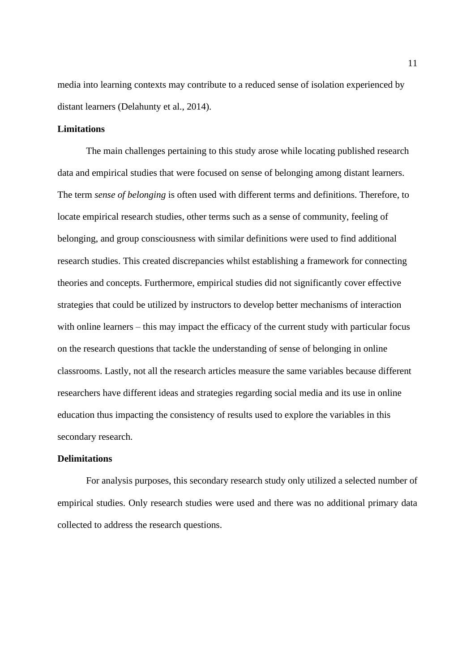media into learning contexts may contribute to a reduced sense of isolation experienced by distant learners (Delahunty et al., 2014).

## **Limitations**

The main challenges pertaining to this study arose while locating published research data and empirical studies that were focused on sense of belonging among distant learners. The term *sense of belonging* is often used with different terms and definitions. Therefore, to locate empirical research studies, other terms such as a sense of community, feeling of belonging, and group consciousness with similar definitions were used to find additional research studies. This created discrepancies whilst establishing a framework for connecting theories and concepts. Furthermore, empirical studies did not significantly cover effective strategies that could be utilized by instructors to develop better mechanisms of interaction with online learners – this may impact the efficacy of the current study with particular focus on the research questions that tackle the understanding of sense of belonging in online classrooms. Lastly, not all the research articles measure the same variables because different researchers have different ideas and strategies regarding social media and its use in online education thus impacting the consistency of results used to explore the variables in this secondary research.

#### **Delimitations**

For analysis purposes, this secondary research study only utilized a selected number of empirical studies. Only research studies were used and there was no additional primary data collected to address the research questions.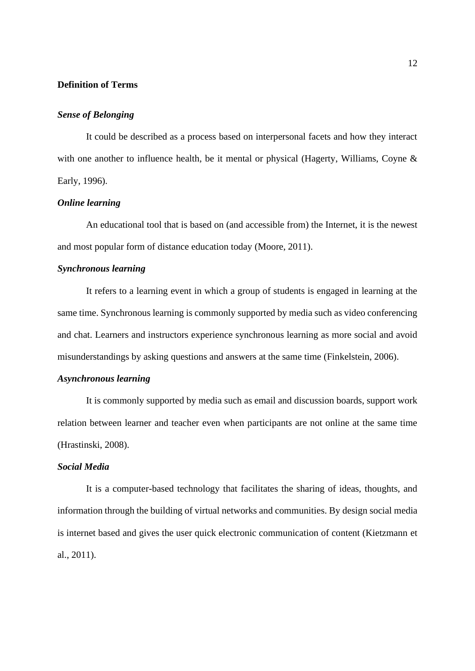## **Definition of Terms**

#### *Sense of Belonging*

It could be described as a process based on interpersonal facets and how they interact with one another to influence health, be it mental or physical (Hagerty, Williams, Coyne & Early, 1996).

### *Online learning*

An educational tool that is based on (and accessible from) the Internet, it is the newest and most popular form of distance education today (Moore, 2011).

#### *Synchronous learning*

It refers to a learning event in which a group of students is engaged in learning at the same time. Synchronous learning is commonly supported by media such as video conferencing and chat. Learners and instructors experience synchronous learning as more social and avoid misunderstandings by asking questions and answers at the same time (Finkelstein, 2006).

## *Asynchronous learning*

It is commonly supported by media such as email and discussion boards, support work relation between learner and teacher even when participants are not online at the same time (Hrastinski, 2008).

## *Social Media*

It is a computer-based technology that facilitates the sharing of ideas, thoughts, and information through the building of virtual networks and communities. By design social media is internet based and gives the user quick electronic communication of content (Kietzmann et al., 2011).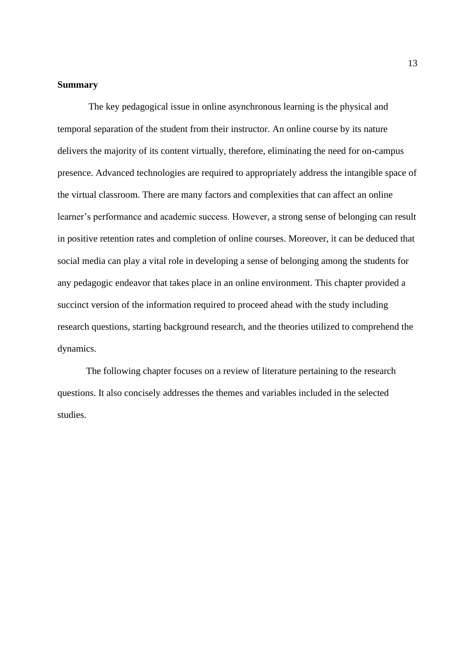## **Summary**

The key pedagogical issue in online asynchronous learning is the physical and temporal separation of the student from their instructor. An online course by its nature delivers the majority of its content virtually, therefore, eliminating the need for on-campus presence. Advanced technologies are required to appropriately address the intangible space of the virtual classroom. There are many factors and complexities that can affect an online learner's performance and academic success. However, a strong sense of belonging can result in positive retention rates and completion of online courses. Moreover, it can be deduced that social media can play a vital role in developing a sense of belonging among the students for any pedagogic endeavor that takes place in an online environment. This chapter provided a succinct version of the information required to proceed ahead with the study including research questions, starting background research, and the theories utilized to comprehend the dynamics.

The following chapter focuses on a review of literature pertaining to the research questions. It also concisely addresses the themes and variables included in the selected studies.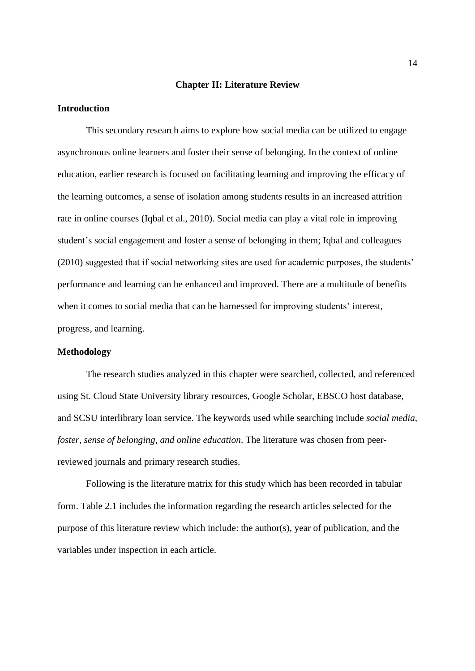#### **Chapter II: Literature Review**

## **Introduction**

This secondary research aims to explore how social media can be utilized to engage asynchronous online learners and foster their sense of belonging. In the context of online education, earlier research is focused on facilitating learning and improving the efficacy of the learning outcomes, a sense of isolation among students results in an increased attrition rate in online courses (Iqbal et al., 2010). Social media can play a vital role in improving student's social engagement and foster a sense of belonging in them; Iqbal and colleagues (2010) suggested that if social networking sites are used for academic purposes, the students' performance and learning can be enhanced and improved. There are a multitude of benefits when it comes to social media that can be harnessed for improving students' interest, progress, and learning.

#### **Methodology**

The research studies analyzed in this chapter were searched, collected, and referenced using St. Cloud State University library resources, Google Scholar, EBSCO host database, and SCSU interlibrary loan service. The keywords used while searching include *social media, foster, sense of belonging, and online education*. The literature was chosen from peerreviewed journals and primary research studies.

Following is the literature matrix for this study which has been recorded in tabular form. Table 2.1 includes the information regarding the research articles selected for the purpose of this literature review which include: the author(s), year of publication, and the variables under inspection in each article.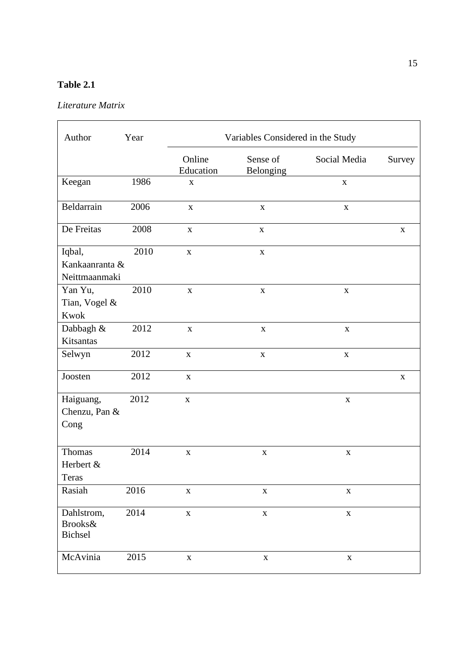## **Table 2.1**

## *Literature Matrix*

| Author                                    | Year | Variables Considered in the Study |                       |              |             |
|-------------------------------------------|------|-----------------------------------|-----------------------|--------------|-------------|
|                                           |      | Online<br>Education               | Sense of<br>Belonging | Social Media | Survey      |
| Keegan                                    | 1986 | $\mathbf X$                       |                       | $\mathbf X$  |             |
| Beldarrain                                | 2006 | $\mathbf X$                       | $\mathbf X$           | $\mathbf X$  |             |
| De Freitas                                | 2008 | $\mathbf X$                       | $\mathbf X$           |              | $\mathbf X$ |
| Iqbal,<br>Kankaanranta &<br>Neittmaanmaki | 2010 | $\mathbf X$                       | $\mathbf X$           |              |             |
| Yan Yu,<br>Tian, Vogel &<br>Kwok          | 2010 | $\mathbf X$                       | $\mathbf X$           | $\mathbf X$  |             |
| Dabbagh &<br>Kitsantas                    | 2012 | $\mathbf X$                       | $\mathbf X$           | $\mathbf X$  |             |
| Selwyn                                    | 2012 | $\mathbf X$                       | $\mathbf X$           | $\mathbf X$  |             |
| Joosten                                   | 2012 | $\mathbf X$                       |                       |              | $\mathbf X$ |
| Haiguang,<br>Chenzu, Pan &<br>Cong        | 2012 | $\mathbf X$                       |                       | $\mathbf X$  |             |
| Thomas<br>Herbert &<br>Teras              | 2014 | $\mathbf X$                       | $\mathbf X$           | $\mathbf X$  |             |
| Rasiah                                    | 2016 | $\mathbf X$                       | $\mathbf X$           | $\mathbf X$  |             |
| Dahlstrom,<br>Brooks&<br>Bichsel          | 2014 | $\mathbf X$                       | $\mathbf X$           | $\mathbf X$  |             |
| McAvinia                                  | 2015 | $\mathbf X$                       | $\mathbf X$           | $\mathbf X$  |             |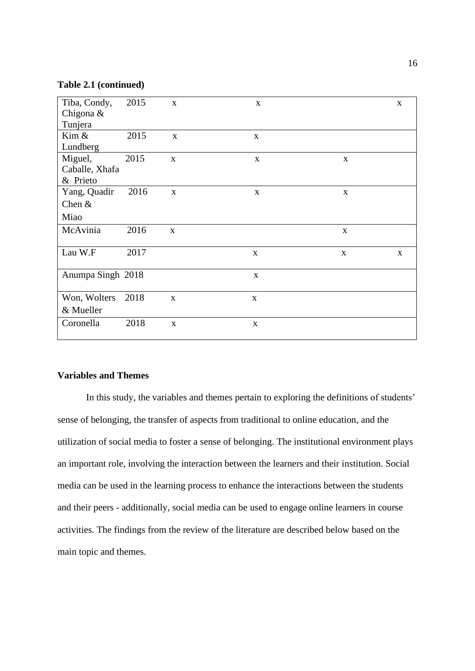### **Table 2.1 (continued)**

| Tiba, Condy,      | 2015 | $\mathbf{x}$ | $\mathbf{X}$ |             | $\mathbf{X}$ |
|-------------------|------|--------------|--------------|-------------|--------------|
| Chigona &         |      |              |              |             |              |
| Tunjera           |      |              |              |             |              |
| Kim &             | 2015 | $\mathbf X$  | $\mathbf{X}$ |             |              |
| Lundberg          |      |              |              |             |              |
| Miguel,           | 2015 | $\mathbf X$  | $\mathbf X$  | $\mathbf X$ |              |
| Caballe, Xhafa    |      |              |              |             |              |
| & Prieto          |      |              |              |             |              |
| Yang, Quadir      | 2016 | $\mathbf X$  | $\mathbf X$  | $\mathbf X$ |              |
| Chen $&$          |      |              |              |             |              |
| Miao              |      |              |              |             |              |
| McAvinia          | 2016 | $\mathbf X$  |              | $\mathbf X$ |              |
|                   |      |              |              |             |              |
| Lau W.F           | 2017 |              | $\mathbf{X}$ | $\mathbf X$ | $\mathbf X$  |
|                   |      |              |              |             |              |
| Anumpa Singh 2018 |      |              | $\mathbf{X}$ |             |              |
|                   |      |              |              |             |              |
| Won, Wolters      | 2018 | $\mathbf X$  | $\mathbf X$  |             |              |
| & Mueller         |      |              |              |             |              |
| Coronella         | 2018 | $\mathbf X$  | $\mathbf{X}$ |             |              |
|                   |      |              |              |             |              |

## **Variables and Themes**

In this study, the variables and themes pertain to exploring the definitions of students' sense of belonging, the transfer of aspects from traditional to online education, and the utilization of social media to foster a sense of belonging. The institutional environment plays an important role, involving the interaction between the learners and their institution. Social media can be used in the learning process to enhance the interactions between the students and their peers - additionally, social media can be used to engage online learners in course activities. The findings from the review of the literature are described below based on the main topic and themes.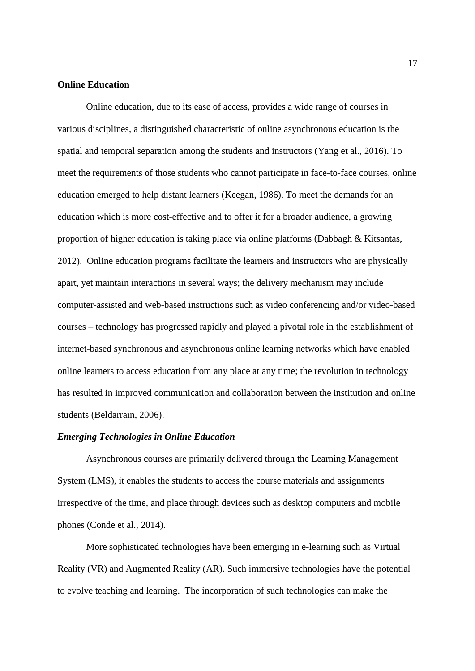## **Online Education**

Online education, due to its ease of access, provides a wide range of courses in various disciplines, a distinguished characteristic of online asynchronous education is the spatial and temporal separation among the students and instructors (Yang et al., 2016). To meet the requirements of those students who cannot participate in face-to-face courses, online education emerged to help distant learners (Keegan, 1986). To meet the demands for an education which is more cost-effective and to offer it for a broader audience, a growing proportion of higher education is taking place via online platforms (Dabbagh & Kitsantas, 2012). Online education programs facilitate the learners and instructors who are physically apart, yet maintain interactions in several ways; the delivery mechanism may include computer-assisted and web-based instructions such as video conferencing and/or video-based courses – technology has progressed rapidly and played a pivotal role in the establishment of internet-based synchronous and asynchronous online learning networks which have enabled online learners to access education from any place at any time; the revolution in technology has resulted in improved communication and collaboration between the institution and online students (Beldarrain, 2006).

#### *Emerging Technologies in Online Education*

Asynchronous courses are primarily delivered through the Learning Management System (LMS), it enables the students to access the course materials and assignments irrespective of the time, and place through devices such as desktop computers and mobile phones (Conde et al., 2014).

More sophisticated technologies have been emerging in e-learning such as Virtual Reality (VR) and Augmented Reality (AR). Such immersive technologies have the potential to evolve teaching and learning. The incorporation of such technologies can make the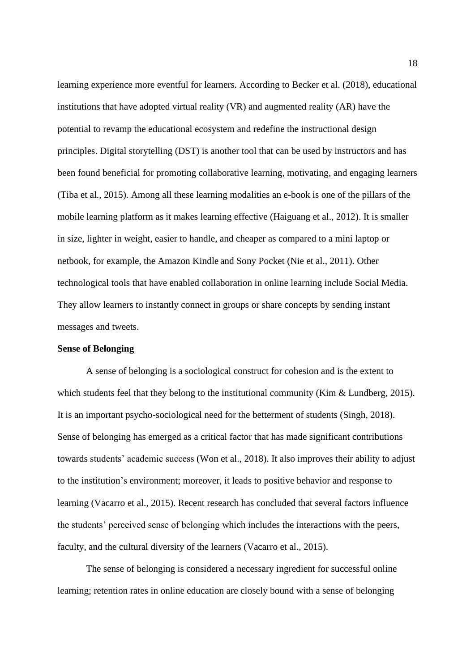learning experience more eventful for learners. According to Becker et al. (2018), educational institutions that have adopted virtual reality (VR) and augmented reality (AR) have the potential to revamp the educational ecosystem and redefine the instructional design principles. Digital storytelling (DST) is another tool that can be used by instructors and has been found beneficial for promoting collaborative learning, motivating, and engaging learners (Tiba et al., 2015). Among all these learning modalities an e-book is one of the pillars of the mobile learning platform as it makes learning effective (Haiguang et al., 2012). It is smaller in size, lighter in weight, easier to handle, and cheaper as compared to a mini laptop or netbook, for example, the Amazon Kindle and Sony Pocket (Nie et al., 2011). Other technological tools that have enabled collaboration in online learning include Social Media. They allow learners to instantly connect in groups or share concepts by sending instant messages and tweets.

### **Sense of Belonging**

A sense of belonging is a sociological construct for cohesion and is the extent to which students feel that they belong to the institutional community (Kim & Lundberg, 2015). It is an important psycho-sociological need for the betterment of students (Singh, 2018). Sense of belonging has emerged as a critical factor that has made significant contributions towards students' academic success (Won et al., 2018). It also improves their ability to adjust to the institution's environment; moreover, it leads to positive behavior and response to learning (Vacarro et al., 2015). Recent research has concluded that several factors influence the students' perceived sense of belonging which includes the interactions with the peers, faculty, and the cultural diversity of the learners (Vacarro et al., 2015).

The sense of belonging is considered a necessary ingredient for successful online learning; retention rates in online education are closely bound with a sense of belonging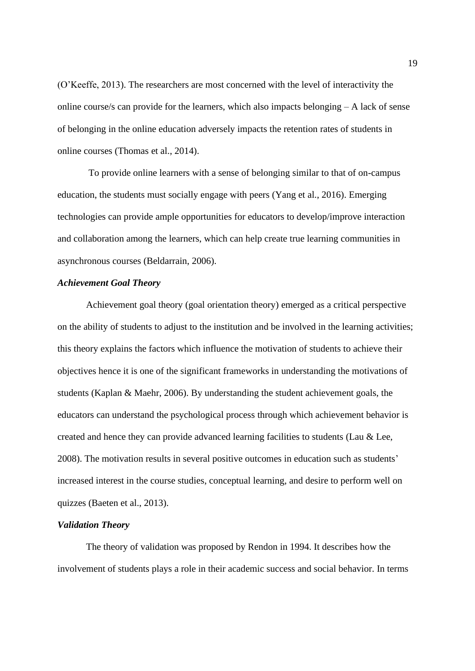(O'Keeffe, 2013). The researchers are most concerned with the level of interactivity the online course/s can provide for the learners, which also impacts belonging – A lack of sense of belonging in the online education adversely impacts the retention rates of students in online courses (Thomas et al., 2014).

To provide online learners with a sense of belonging similar to that of on-campus education, the students must socially engage with peers (Yang et al., 2016). Emerging technologies can provide ample opportunities for educators to develop/improve interaction and collaboration among the learners, which can help create true learning communities in asynchronous courses (Beldarrain, 2006).

## *Achievement Goal Theory*

Achievement goal theory (goal orientation theory) emerged as a critical perspective on the ability of students to adjust to the institution and be involved in the learning activities; this theory explains the factors which influence the motivation of students to achieve their objectives hence it is one of the significant frameworks in understanding the motivations of students (Kaplan & Maehr, 2006). By understanding the student achievement goals, the educators can understand the psychological process through which achievement behavior is created and hence they can provide advanced learning facilities to students (Lau & Lee, 2008). The motivation results in several positive outcomes in education such as students' increased interest in the course studies, conceptual learning, and desire to perform well on quizzes (Baeten et al., 2013).

#### *Validation Theory*

The theory of validation was proposed by Rendon in 1994. It describes how the involvement of students plays a role in their academic success and social behavior. In terms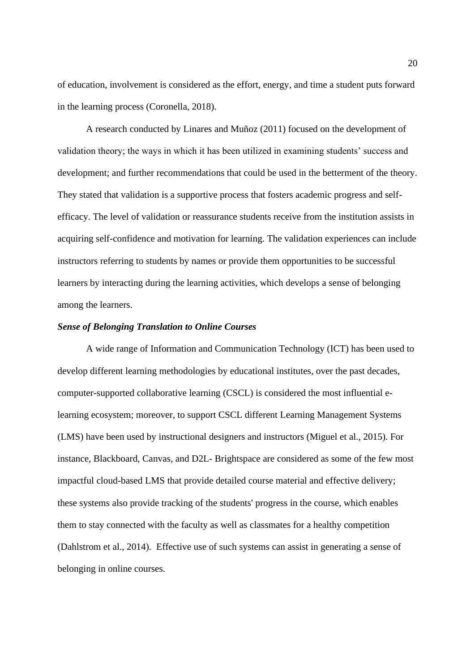of education, involvement is considered as the effort, energy, and time a student puts forward in the learning process (Coronella, 2018).

A research conducted by Linares and Muñoz (2011) focused on the development of validation theory; the ways in which it has been utilized in examining students' success and development; and further recommendations that could be used in the betterment of the theory. They stated that validation is a supportive process that fosters academic progress and selfefficacy. The level of validation or reassurance students receive from the institution assists in acquiring self-confidence and motivation for learning. The validation experiences can include instructors referring to students by names or provide them opportunities to be successful learners by interacting during the learning activities, which develops a sense of belonging among the learners.

#### *Sense of Belonging Translation to Online Courses*

A wide range of Information and Communication Technology (ICT) has been used to develop different learning methodologies by educational institutes, over the past decades, computer-supported collaborative learning (CSCL) is considered the most influential elearning ecosystem; moreover, to support CSCL different Learning Management Systems (LMS) have been used by instructional designers and instructors (Miguel et al., 2015). For instance, Blackboard, Canvas, and D2L- Brightspace are considered as some of the few most impactful cloud-based LMS that provide detailed course material and effective delivery; these systems also provide tracking of the students' progress in the course, which enables them to stay connected with the faculty as well as classmates for a healthy competition (Dahlstrom et al., 2014). Effective use of such systems can assist in generating a sense of belonging in online courses.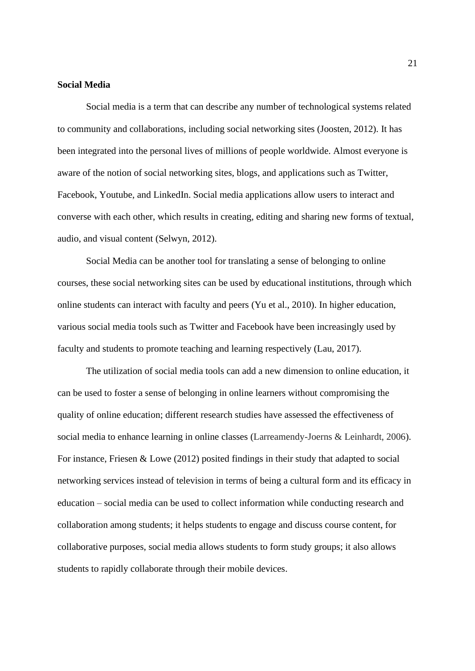## **Social Media**

Social media is a term that can describe any number of technological systems related to community and collaborations, including social networking sites (Joosten, 2012). It has been integrated into the personal lives of millions of people worldwide. Almost everyone is aware of the notion of social networking sites, blogs, and applications such as Twitter, Facebook, Youtube, and LinkedIn. Social media applications allow users to interact and converse with each other, which results in creating, editing and sharing new forms of textual, audio, and visual content (Selwyn, 2012).

Social Media can be another tool for translating a sense of belonging to online courses, these social networking sites can be used by educational institutions, through which online students can interact with faculty and peers (Yu et al., 2010). In higher education, various social media tools such as Twitter and Facebook have been increasingly used by faculty and students to promote teaching and learning respectively (Lau, 2017).

The utilization of social media tools can add a new dimension to online education, it can be used to foster a sense of belonging in online learners without compromising the quality of online education; different research studies have assessed the effectiveness of social media to enhance learning in online classes (Larreamendy-Joerns & Leinhardt, 2006). For instance, Friesen & Lowe (2012) posited findings in their study that adapted to social networking services instead of television in terms of being a cultural form and its efficacy in education – social media can be used to collect information while conducting research and collaboration among students; it helps students to engage and discuss course content, for collaborative purposes, social media allows students to form study groups; it also allows students to rapidly collaborate through their mobile devices.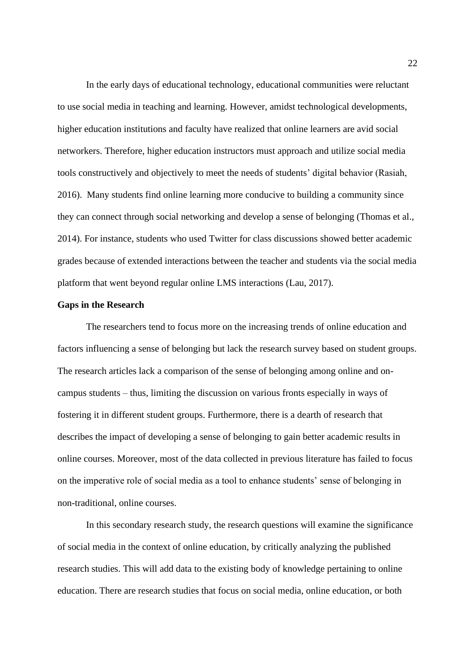In the early days of educational technology, educational communities were reluctant to use social media in teaching and learning. However, amidst technological developments, higher education institutions and faculty have realized that online learners are avid social networkers. Therefore, higher education instructors must approach and utilize social media tools constructively and objectively to meet the needs of students' digital behavior (Rasiah, 2016). Many students find online learning more conducive to building a community since they can connect through social networking and develop a sense of belonging (Thomas et al., 2014). For instance, students who used Twitter for class discussions showed better academic grades because of extended interactions between the teacher and students via the social media platform that went beyond regular online LMS interactions (Lau, 2017).

#### **Gaps in the Research**

The researchers tend to focus more on the increasing trends of online education and factors influencing a sense of belonging but lack the research survey based on student groups. The research articles lack a comparison of the sense of belonging among online and oncampus students – thus, limiting the discussion on various fronts especially in ways of fostering it in different student groups. Furthermore, there is a dearth of research that describes the impact of developing a sense of belonging to gain better academic results in online courses. Moreover, most of the data collected in previous literature has failed to focus on the imperative role of social media as a tool to enhance students' sense of belonging in non-traditional, online courses.

In this secondary research study, the research questions will examine the significance of social media in the context of online education, by critically analyzing the published research studies. This will add data to the existing body of knowledge pertaining to online education. There are research studies that focus on social media, online education, or both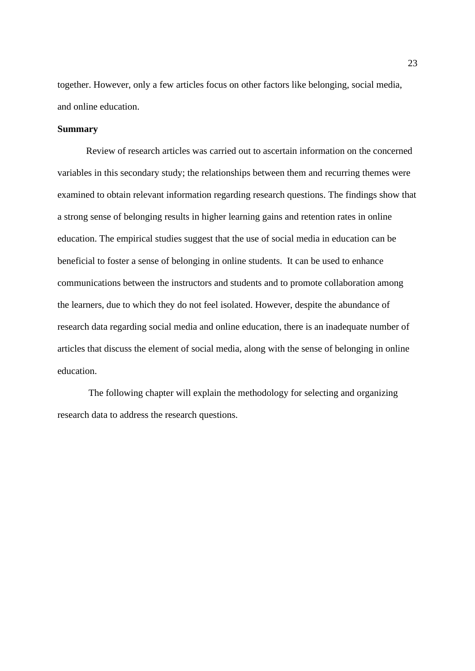together. However, only a few articles focus on other factors like belonging, social media, and online education.

## **Summary**

Review of research articles was carried out to ascertain information on the concerned variables in this secondary study; the relationships between them and recurring themes were examined to obtain relevant information regarding research questions. The findings show that a strong sense of belonging results in higher learning gains and retention rates in online education. The empirical studies suggest that the use of social media in education can be beneficial to foster a sense of belonging in online students. It can be used to enhance communications between the instructors and students and to promote collaboration among the learners, due to which they do not feel isolated. However, despite the abundance of research data regarding social media and online education, there is an inadequate number of articles that discuss the element of social media, along with the sense of belonging in online education.

The following chapter will explain the methodology for selecting and organizing research data to address the research questions.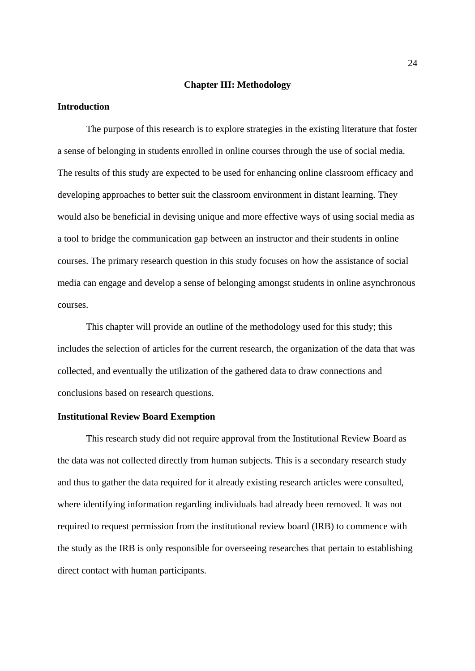#### **Chapter III: Methodology**

#### **Introduction**

The purpose of this research is to explore strategies in the existing literature that foster a sense of belonging in students enrolled in online courses through the use of social media. The results of this study are expected to be used for enhancing online classroom efficacy and developing approaches to better suit the classroom environment in distant learning. They would also be beneficial in devising unique and more effective ways of using social media as a tool to bridge the communication gap between an instructor and their students in online courses. The primary research question in this study focuses on how the assistance of social media can engage and develop a sense of belonging amongst students in online asynchronous courses.

This chapter will provide an outline of the methodology used for this study; this includes the selection of articles for the current research, the organization of the data that was collected, and eventually the utilization of the gathered data to draw connections and conclusions based on research questions.

#### **Institutional Review Board Exemption**

This research study did not require approval from the Institutional Review Board as the data was not collected directly from human subjects. This is a secondary research study and thus to gather the data required for it already existing research articles were consulted, where identifying information regarding individuals had already been removed. It was not required to request permission from the institutional review board (IRB) to commence with the study as the IRB is only responsible for overseeing researches that pertain to establishing direct contact with human participants.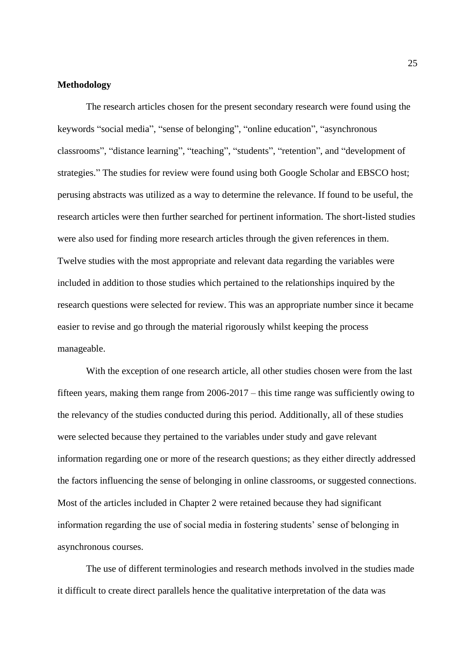#### **Methodology**

The research articles chosen for the present secondary research were found using the keywords "social media", "sense of belonging", "online education", "asynchronous classrooms", "distance learning", "teaching", "students", "retention", and "development of strategies." The studies for review were found using both Google Scholar and EBSCO host; perusing abstracts was utilized as a way to determine the relevance. If found to be useful, the research articles were then further searched for pertinent information. The short-listed studies were also used for finding more research articles through the given references in them. Twelve studies with the most appropriate and relevant data regarding the variables were included in addition to those studies which pertained to the relationships inquired by the research questions were selected for review. This was an appropriate number since it became easier to revise and go through the material rigorously whilst keeping the process manageable.

With the exception of one research article, all other studies chosen were from the last fifteen years, making them range from 2006-2017 – this time range was sufficiently owing to the relevancy of the studies conducted during this period. Additionally, all of these studies were selected because they pertained to the variables under study and gave relevant information regarding one or more of the research questions; as they either directly addressed the factors influencing the sense of belonging in online classrooms, or suggested connections. Most of the articles included in Chapter 2 were retained because they had significant information regarding the use of social media in fostering students' sense of belonging in asynchronous courses.

The use of different terminologies and research methods involved in the studies made it difficult to create direct parallels hence the qualitative interpretation of the data was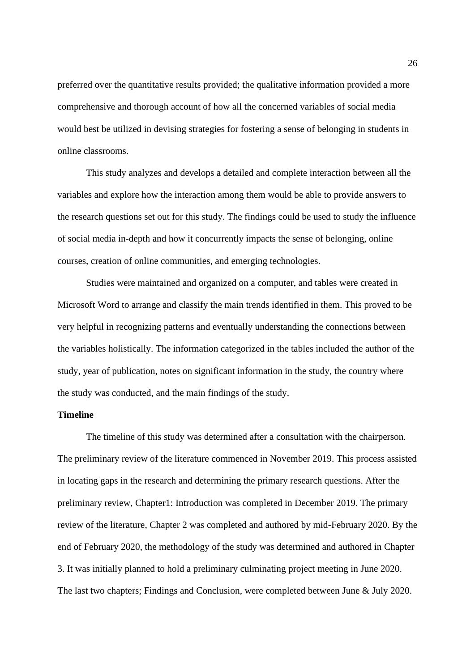preferred over the quantitative results provided; the qualitative information provided a more comprehensive and thorough account of how all the concerned variables of social media would best be utilized in devising strategies for fostering a sense of belonging in students in online classrooms.

This study analyzes and develops a detailed and complete interaction between all the variables and explore how the interaction among them would be able to provide answers to the research questions set out for this study. The findings could be used to study the influence of social media in-depth and how it concurrently impacts the sense of belonging, online courses, creation of online communities, and emerging technologies.

Studies were maintained and organized on a computer, and tables were created in Microsoft Word to arrange and classify the main trends identified in them. This proved to be very helpful in recognizing patterns and eventually understanding the connections between the variables holistically. The information categorized in the tables included the author of the study, year of publication, notes on significant information in the study, the country where the study was conducted, and the main findings of the study.

### **Timeline**

The timeline of this study was determined after a consultation with the chairperson. The preliminary review of the literature commenced in November 2019. This process assisted in locating gaps in the research and determining the primary research questions. After the preliminary review, Chapter1: Introduction was completed in December 2019. The primary review of the literature, Chapter 2 was completed and authored by mid-February 2020. By the end of February 2020, the methodology of the study was determined and authored in Chapter 3. It was initially planned to hold a preliminary culminating project meeting in June 2020. The last two chapters; Findings and Conclusion, were completed between June & July 2020.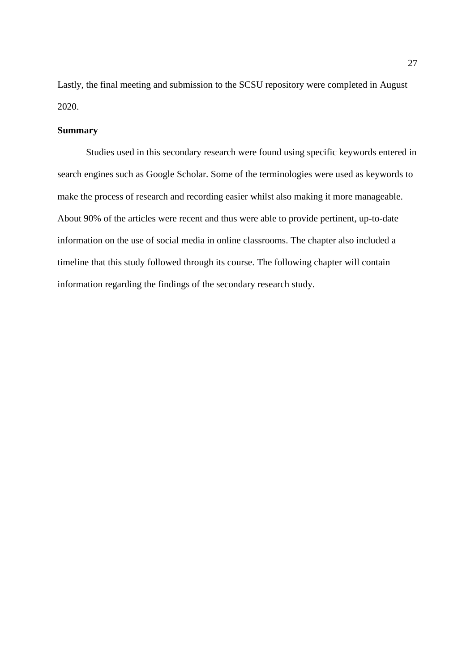Lastly, the final meeting and submission to the SCSU repository were completed in August 2020.

### **Summary**

Studies used in this secondary research were found using specific keywords entered in search engines such as Google Scholar. Some of the terminologies were used as keywords to make the process of research and recording easier whilst also making it more manageable. About 90% of the articles were recent and thus were able to provide pertinent, up-to-date information on the use of social media in online classrooms. The chapter also included a timeline that this study followed through its course. The following chapter will contain information regarding the findings of the secondary research study.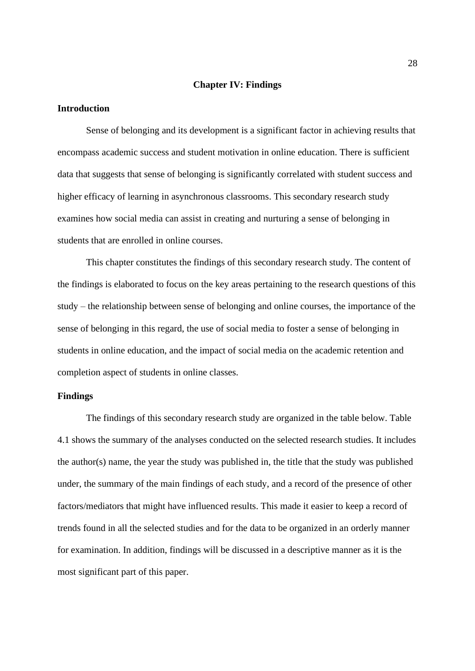#### **Chapter IV: Findings**

#### **Introduction**

Sense of belonging and its development is a significant factor in achieving results that encompass academic success and student motivation in online education. There is sufficient data that suggests that sense of belonging is significantly correlated with student success and higher efficacy of learning in asynchronous classrooms. This secondary research study examines how social media can assist in creating and nurturing a sense of belonging in students that are enrolled in online courses.

This chapter constitutes the findings of this secondary research study. The content of the findings is elaborated to focus on the key areas pertaining to the research questions of this study – the relationship between sense of belonging and online courses, the importance of the sense of belonging in this regard, the use of social media to foster a sense of belonging in students in online education, and the impact of social media on the academic retention and completion aspect of students in online classes.

#### **Findings**

The findings of this secondary research study are organized in the table below. Table 4.1 shows the summary of the analyses conducted on the selected research studies. It includes the author(s) name, the year the study was published in, the title that the study was published under, the summary of the main findings of each study, and a record of the presence of other factors/mediators that might have influenced results. This made it easier to keep a record of trends found in all the selected studies and for the data to be organized in an orderly manner for examination. In addition, findings will be discussed in a descriptive manner as it is the most significant part of this paper.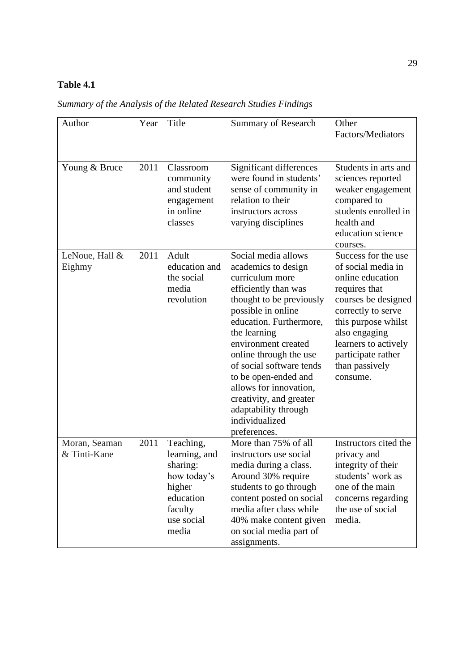## **Table 4.1**

| Author                        | Year | Title                                                                                                          | <b>Summary of Research</b>                                                                                                                                                                                                                                                                                                                                                                             | Other<br>Factors/Mediators                                                                                                                                                                                                                      |
|-------------------------------|------|----------------------------------------------------------------------------------------------------------------|--------------------------------------------------------------------------------------------------------------------------------------------------------------------------------------------------------------------------------------------------------------------------------------------------------------------------------------------------------------------------------------------------------|-------------------------------------------------------------------------------------------------------------------------------------------------------------------------------------------------------------------------------------------------|
| Young & Bruce                 | 2011 | Classroom<br>community<br>and student<br>engagement<br>in online<br>classes                                    | Significant differences<br>were found in students'<br>sense of community in<br>relation to their<br>instructors across<br>varying disciplines                                                                                                                                                                                                                                                          | Students in arts and<br>sciences reported<br>weaker engagement<br>compared to<br>students enrolled in<br>health and<br>education science<br>courses.                                                                                            |
| LeNoue, Hall &<br>Eighmy      | 2011 | Adult<br>education and<br>the social<br>media<br>revolution                                                    | Social media allows<br>academics to design<br>curriculum more<br>efficiently than was<br>thought to be previously<br>possible in online<br>education. Furthermore,<br>the learning<br>environment created<br>online through the use<br>of social software tends<br>to be open-ended and<br>allows for innovation,<br>creativity, and greater<br>adaptability through<br>individualized<br>preferences. | Success for the use<br>of social media in<br>online education<br>requires that<br>courses be designed<br>correctly to serve<br>this purpose whilst<br>also engaging<br>learners to actively<br>participate rather<br>than passively<br>consume. |
| Moran, Seaman<br>& Tinti-Kane | 2011 | Teaching,<br>learning, and<br>sharing:<br>how today's<br>higher<br>education<br>faculty<br>use social<br>media | More than 75% of all<br>instructors use social<br>media during a class.<br>Around 30% require<br>students to go through<br>content posted on social<br>media after class while<br>40% make content given<br>on social media part of<br>assignments.                                                                                                                                                    | Instructors cited the<br>privacy and<br>integrity of their<br>students' work as<br>one of the main<br>concerns regarding<br>the use of social<br>media.                                                                                         |

*Summary of the Analysis of the Related Research Studies Findings*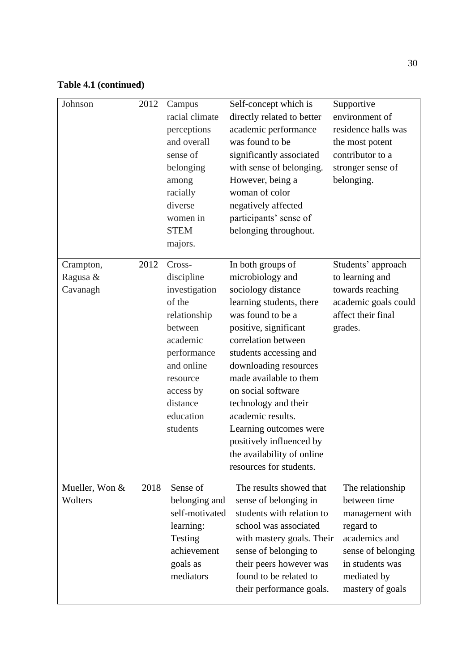## **Table 4.1 (continued)**

| Johnson                           | 2012 | Campus<br>racial climate<br>perceptions<br>and overall<br>sense of<br>belonging<br>among<br>racially<br>diverse<br>women in<br><b>STEM</b><br>majors. | Self-concept which is<br>directly related to better<br>academic performance<br>was found to be<br>significantly associated<br>with sense of belonging.<br>However, being a<br>woman of color<br>negatively affected<br>participants' sense of<br>belonging throughout.                                                                                       | Supportive<br>environment of<br>residence halls was<br>the most potent<br>contributor to a<br>stronger sense of<br>belonging.                                 |
|-----------------------------------|------|-------------------------------------------------------------------------------------------------------------------------------------------------------|--------------------------------------------------------------------------------------------------------------------------------------------------------------------------------------------------------------------------------------------------------------------------------------------------------------------------------------------------------------|---------------------------------------------------------------------------------------------------------------------------------------------------------------|
| Crampton,<br>Ragusa &<br>Cavanagh | 2012 | Cross-<br>discipline<br>investigation<br>of the                                                                                                       | In both groups of<br>microbiology and<br>sociology distance                                                                                                                                                                                                                                                                                                  | Students' approach<br>to learning and<br>towards reaching                                                                                                     |
|                                   |      | relationship<br>between<br>academic<br>performance<br>and online<br>resource<br>access by<br>distance<br>education<br>students                        | learning students, there<br>was found to be a<br>positive, significant<br>correlation between<br>students accessing and<br>downloading resources<br>made available to them<br>on social software<br>technology and their<br>academic results.<br>Learning outcomes were<br>positively influenced by<br>the availability of online<br>resources for students. | academic goals could<br>affect their final<br>grades.                                                                                                         |
| Mueller, Won &<br>Wolters         | 2018 | Sense of<br>belonging and<br>self-motivated<br>learning:<br>Testing<br>achievement<br>goals as<br>mediators                                           | The results showed that<br>sense of belonging in<br>students with relation to<br>school was associated<br>with mastery goals. Their<br>sense of belonging to<br>their peers however was<br>found to be related to<br>their performance goals.                                                                                                                | The relationship<br>between time<br>management with<br>regard to<br>academics and<br>sense of belonging<br>in students was<br>mediated by<br>mastery of goals |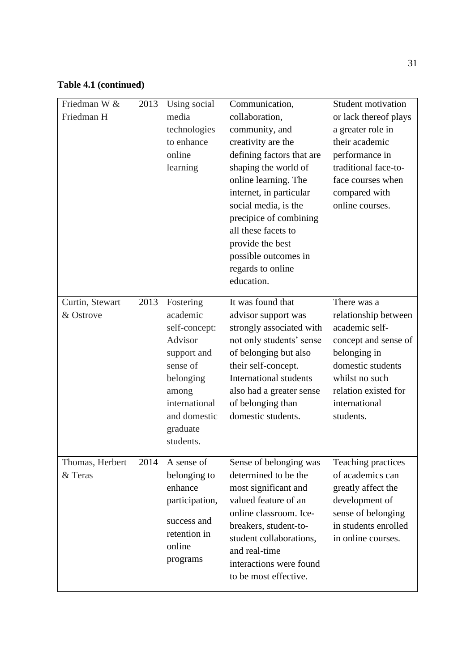# **Table 4.1 (continued)**

| Friedman W &<br>Friedman H   | 2013 | Using social<br>media<br>technologies<br>to enhance<br>online<br>learning                                                                                    | Communication,<br>collaboration,<br>community, and<br>creativity are the<br>defining factors that are<br>shaping the world of<br>online learning. The<br>internet, in particular<br>social media, is the<br>precipice of combining<br>all these facets to<br>provide the best<br>possible outcomes in<br>regards to online<br>education. | Student motivation<br>or lack thereof plays<br>a greater role in<br>their academic<br>performance in<br>traditional face-to-<br>face courses when<br>compared with<br>online courses.      |
|------------------------------|------|--------------------------------------------------------------------------------------------------------------------------------------------------------------|------------------------------------------------------------------------------------------------------------------------------------------------------------------------------------------------------------------------------------------------------------------------------------------------------------------------------------------|--------------------------------------------------------------------------------------------------------------------------------------------------------------------------------------------|
| Curtin, Stewart<br>& Ostrove | 2013 | Fostering<br>academic<br>self-concept:<br>Advisor<br>support and<br>sense of<br>belonging<br>among<br>international<br>and domestic<br>graduate<br>students. | It was found that<br>advisor support was<br>strongly associated with<br>not only students' sense<br>of belonging but also<br>their self-concept.<br><b>International students</b><br>also had a greater sense<br>of belonging than<br>domestic students.                                                                                 | There was a<br>relationship between<br>academic self-<br>concept and sense of<br>belonging in<br>domestic students<br>whilst no such<br>relation existed for<br>international<br>students. |
| Thomas, Herbert<br>& Teras   | 2014 | A sense of<br>belonging to<br>enhance<br>participation,<br>success and<br>retention in<br>online<br>programs                                                 | Sense of belonging was<br>determined to be the<br>most significant and<br>valued feature of an<br>online classroom. Ice-<br>breakers, student-to-<br>student collaborations,<br>and real-time<br>interactions were found<br>to be most effective.                                                                                        | Teaching practices<br>of academics can<br>greatly affect the<br>development of<br>sense of belonging<br>in students enrolled<br>in online courses.                                         |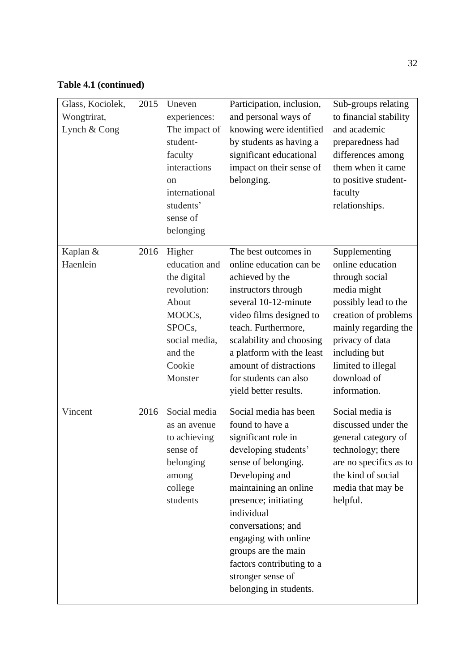## **Table 4.1 (continued)**

| Glass, Kociolek,<br>Wongtrirat,<br>Lynch & Cong | 2015 | Uneven<br>experiences:<br>The impact of<br>student-<br>faculty<br>interactions<br><sub>on</sub><br>international<br>students'<br>sense of<br>belonging | Participation, inclusion,<br>and personal ways of<br>knowing were identified<br>by students as having a<br>significant educational<br>impact on their sense of<br>belonging.                                                                                                                                                                     | Sub-groups relating<br>to financial stability<br>and academic<br>preparedness had<br>differences among<br>them when it came<br>to positive student-<br>faculty<br>relationships.                                                    |
|-------------------------------------------------|------|--------------------------------------------------------------------------------------------------------------------------------------------------------|--------------------------------------------------------------------------------------------------------------------------------------------------------------------------------------------------------------------------------------------------------------------------------------------------------------------------------------------------|-------------------------------------------------------------------------------------------------------------------------------------------------------------------------------------------------------------------------------------|
| Kaplan &<br>Haenlein                            | 2016 | Higher<br>education and<br>the digital<br>revolution:<br>About<br>MOOCs,<br>SPOCs,<br>social media,<br>and the<br>Cookie<br>Monster                    | The best outcomes in<br>online education can be<br>achieved by the<br>instructors through<br>several 10-12-minute<br>video films designed to<br>teach. Furthermore,<br>scalability and choosing<br>a platform with the least<br>amount of distractions<br>for students can also<br>yield better results.                                         | Supplementing<br>online education<br>through social<br>media might<br>possibly lead to the<br>creation of problems<br>mainly regarding the<br>privacy of data<br>including but<br>limited to illegal<br>download of<br>information. |
| Vincent                                         | 2016 | Social media<br>as an avenue<br>to achieving<br>sense of<br>belonging<br>among<br>college<br>students                                                  | Social media has been<br>found to have a<br>significant role in<br>developing students'<br>sense of belonging.<br>Developing and<br>maintaining an online<br>presence; initiating<br>individual<br>conversations; and<br>engaging with online<br>groups are the main<br>factors contributing to a<br>stronger sense of<br>belonging in students. | Social media is<br>discussed under the<br>general category of<br>technology; there<br>are no specifics as to<br>the kind of social<br>media that may be<br>helpful.                                                                 |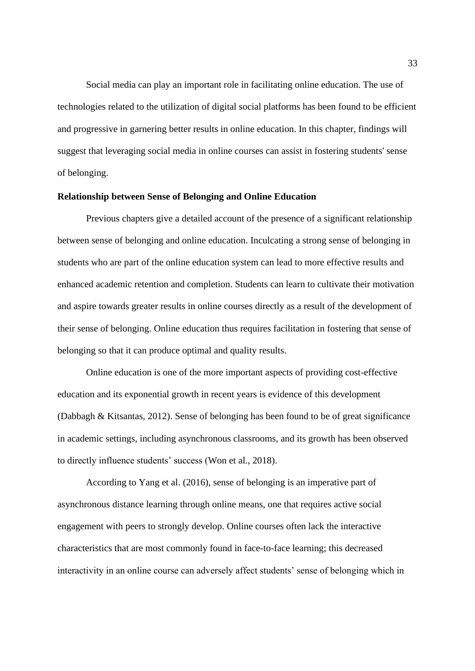Social media can play an important role in facilitating online education. The use of technologies related to the utilization of digital social platforms has been found to be efficient and progressive in garnering better results in online education. In this chapter, findings will suggest that leveraging social media in online courses can assist in fostering students' sense of belonging.

#### **Relationship between Sense of Belonging and Online Education**

Previous chapters give a detailed account of the presence of a significant relationship between sense of belonging and online education. Inculcating a strong sense of belonging in students who are part of the online education system can lead to more effective results and enhanced academic retention and completion. Students can learn to cultivate their motivation and aspire towards greater results in online courses directly as a result of the development of their sense of belonging. Online education thus requires facilitation in fostering that sense of belonging so that it can produce optimal and quality results.

Online education is one of the more important aspects of providing cost-effective education and its exponential growth in recent years is evidence of this development (Dabbagh & Kitsantas, 2012). Sense of belonging has been found to be of great significance in academic settings, including asynchronous classrooms, and its growth has been observed to directly influence students' success (Won et al., 2018).

According to Yang et al. (2016), sense of belonging is an imperative part of asynchronous distance learning through online means, one that requires active social engagement with peers to strongly develop. Online courses often lack the interactive characteristics that are most commonly found in face-to-face learning; this decreased interactivity in an online course can adversely affect students' sense of belonging which in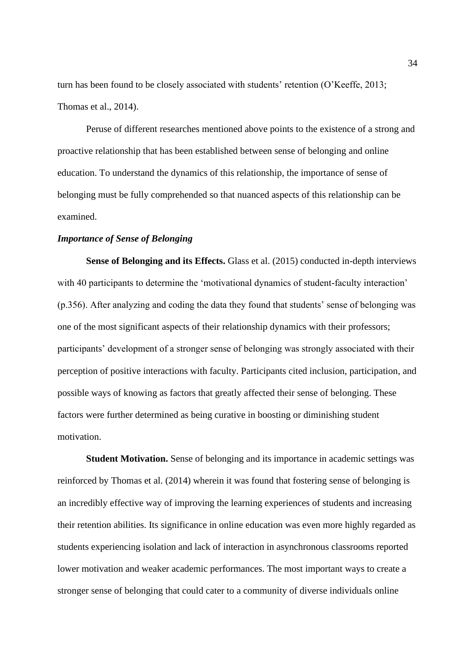turn has been found to be closely associated with students' retention (O'Keeffe, 2013; Thomas et al., 2014).

Peruse of different researches mentioned above points to the existence of a strong and proactive relationship that has been established between sense of belonging and online education. To understand the dynamics of this relationship, the importance of sense of belonging must be fully comprehended so that nuanced aspects of this relationship can be examined.

### *Importance of Sense of Belonging*

**Sense of Belonging and its Effects.** Glass et al. (2015) conducted in-depth interviews with 40 participants to determine the 'motivational dynamics of student-faculty interaction' (p.356). After analyzing and coding the data they found that students' sense of belonging was one of the most significant aspects of their relationship dynamics with their professors; participants' development of a stronger sense of belonging was strongly associated with their perception of positive interactions with faculty. Participants cited inclusion, participation, and possible ways of knowing as factors that greatly affected their sense of belonging. These factors were further determined as being curative in boosting or diminishing student motivation.

**Student Motivation.** Sense of belonging and its importance in academic settings was reinforced by Thomas et al. (2014) wherein it was found that fostering sense of belonging is an incredibly effective way of improving the learning experiences of students and increasing their retention abilities. Its significance in online education was even more highly regarded as students experiencing isolation and lack of interaction in asynchronous classrooms reported lower motivation and weaker academic performances. The most important ways to create a stronger sense of belonging that could cater to a community of diverse individuals online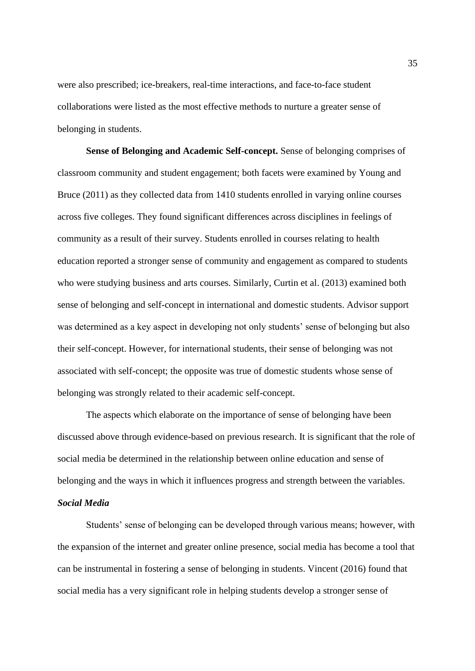were also prescribed; ice-breakers, real-time interactions, and face-to-face student collaborations were listed as the most effective methods to nurture a greater sense of belonging in students.

**Sense of Belonging and Academic Self-concept.** Sense of belonging comprises of classroom community and student engagement; both facets were examined by Young and Bruce (2011) as they collected data from 1410 students enrolled in varying online courses across five colleges. They found significant differences across disciplines in feelings of community as a result of their survey. Students enrolled in courses relating to health education reported a stronger sense of community and engagement as compared to students who were studying business and arts courses. Similarly, Curtin et al. (2013) examined both sense of belonging and self-concept in international and domestic students. Advisor support was determined as a key aspect in developing not only students' sense of belonging but also their self-concept. However, for international students, their sense of belonging was not associated with self-concept; the opposite was true of domestic students whose sense of belonging was strongly related to their academic self-concept.

The aspects which elaborate on the importance of sense of belonging have been discussed above through evidence-based on previous research. It is significant that the role of social media be determined in the relationship between online education and sense of belonging and the ways in which it influences progress and strength between the variables.

## *Social Media*

Students' sense of belonging can be developed through various means; however, with the expansion of the internet and greater online presence, social media has become a tool that can be instrumental in fostering a sense of belonging in students. Vincent (2016) found that social media has a very significant role in helping students develop a stronger sense of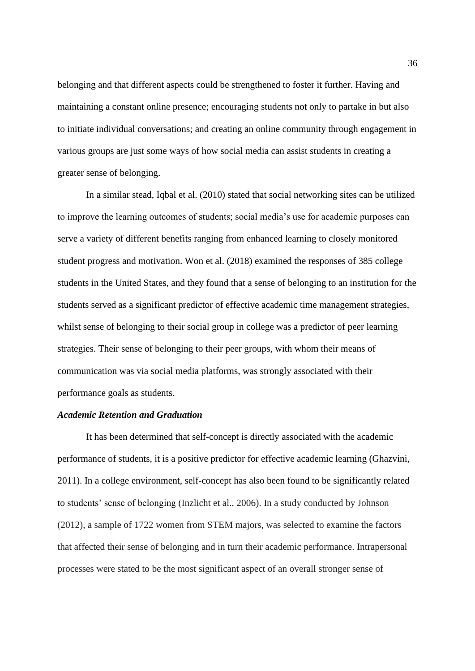belonging and that different aspects could be strengthened to foster it further. Having and maintaining a constant online presence; encouraging students not only to partake in but also to initiate individual conversations; and creating an online community through engagement in various groups are just some ways of how social media can assist students in creating a greater sense of belonging.

In a similar stead, Iqbal et al. (2010) stated that social networking sites can be utilized to improve the learning outcomes of students; social media's use for academic purposes can serve a variety of different benefits ranging from enhanced learning to closely monitored student progress and motivation. Won et al. (2018) examined the responses of 385 college students in the United States, and they found that a sense of belonging to an institution for the students served as a significant predictor of effective academic time management strategies, whilst sense of belonging to their social group in college was a predictor of peer learning strategies. Their sense of belonging to their peer groups, with whom their means of communication was via social media platforms, was strongly associated with their performance goals as students.

## *Academic Retention and Graduation*

It has been determined that self-concept is directly associated with the academic performance of students, it is a positive predictor for effective academic learning (Ghazvini, 2011). In a college environment, self-concept has also been found to be significantly related to students' sense of belonging (Inzlicht et al., 2006). In a study conducted by Johnson (2012), a sample of 1722 women from STEM majors, was selected to examine the factors that affected their sense of belonging and in turn their academic performance. Intrapersonal processes were stated to be the most significant aspect of an overall stronger sense of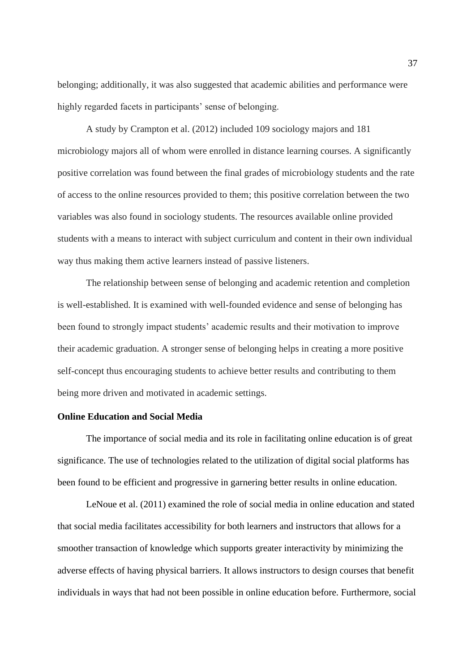belonging; additionally, it was also suggested that academic abilities and performance were highly regarded facets in participants' sense of belonging.

A study by Crampton et al. (2012) included 109 sociology majors and 181 microbiology majors all of whom were enrolled in distance learning courses. A significantly positive correlation was found between the final grades of microbiology students and the rate of access to the online resources provided to them; this positive correlation between the two variables was also found in sociology students. The resources available online provided students with a means to interact with subject curriculum and content in their own individual way thus making them active learners instead of passive listeners.

The relationship between sense of belonging and academic retention and completion is well-established. It is examined with well-founded evidence and sense of belonging has been found to strongly impact students' academic results and their motivation to improve their academic graduation. A stronger sense of belonging helps in creating a more positive self-concept thus encouraging students to achieve better results and contributing to them being more driven and motivated in academic settings.

## **Online Education and Social Media**

The importance of social media and its role in facilitating online education is of great significance. The use of technologies related to the utilization of digital social platforms has been found to be efficient and progressive in garnering better results in online education.

LeNoue et al. (2011) examined the role of social media in online education and stated that social media facilitates accessibility for both learners and instructors that allows for a smoother transaction of knowledge which supports greater interactivity by minimizing the adverse effects of having physical barriers. It allows instructors to design courses that benefit individuals in ways that had not been possible in online education before. Furthermore, social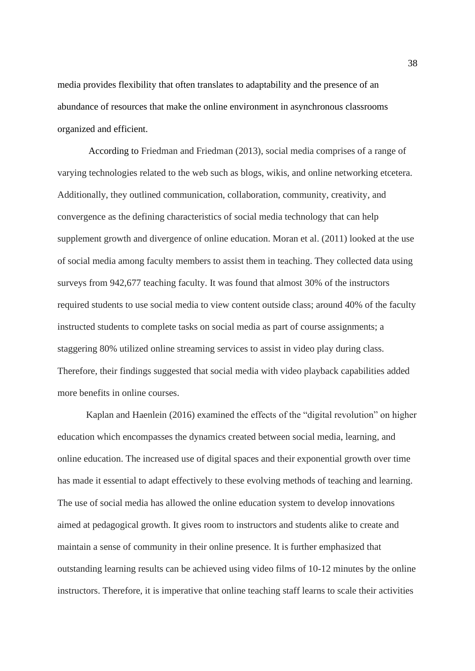media provides flexibility that often translates to adaptability and the presence of an abundance of resources that make the online environment in asynchronous classrooms organized and efficient.

According to Friedman and Friedman (2013), social media comprises of a range of varying technologies related to the web such as blogs, wikis, and online networking etcetera. Additionally, they outlined communication, collaboration, community, creativity, and convergence as the defining characteristics of social media technology that can help supplement growth and divergence of online education. Moran et al. (2011) looked at the use of social media among faculty members to assist them in teaching. They collected data using surveys from 942,677 teaching faculty. It was found that almost 30% of the instructors required students to use social media to view content outside class; around 40% of the faculty instructed students to complete tasks on social media as part of course assignments; a staggering 80% utilized online streaming services to assist in video play during class. Therefore, their findings suggested that social media with video playback capabilities added more benefits in online courses.

Kaplan and Haenlein (2016) examined the effects of the "digital revolution" on higher education which encompasses the dynamics created between social media, learning, and online education. The increased use of digital spaces and their exponential growth over time has made it essential to adapt effectively to these evolving methods of teaching and learning. The use of social media has allowed the online education system to develop innovations aimed at pedagogical growth. It gives room to instructors and students alike to create and maintain a sense of community in their online presence. It is further emphasized that outstanding learning results can be achieved using video films of 10-12 minutes by the online instructors. Therefore, it is imperative that online teaching staff learns to scale their activities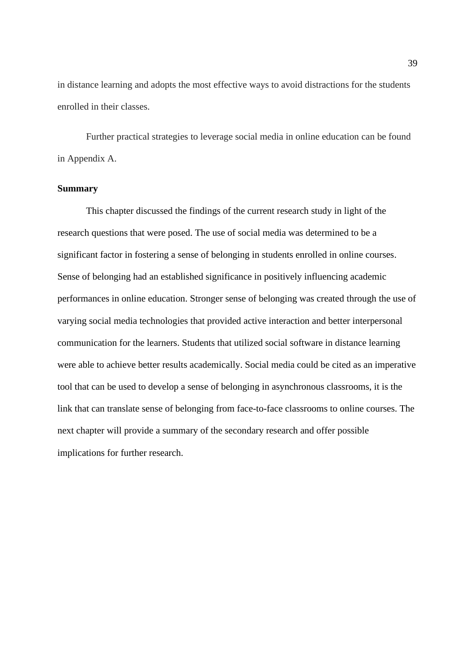in distance learning and adopts the most effective ways to avoid distractions for the students enrolled in their classes.

Further practical strategies to leverage social media in online education can be found in Appendix A.

## **Summary**

This chapter discussed the findings of the current research study in light of the research questions that were posed. The use of social media was determined to be a significant factor in fostering a sense of belonging in students enrolled in online courses. Sense of belonging had an established significance in positively influencing academic performances in online education. Stronger sense of belonging was created through the use of varying social media technologies that provided active interaction and better interpersonal communication for the learners. Students that utilized social software in distance learning were able to achieve better results academically. Social media could be cited as an imperative tool that can be used to develop a sense of belonging in asynchronous classrooms, it is the link that can translate sense of belonging from face-to-face classrooms to online courses. The next chapter will provide a summary of the secondary research and offer possible implications for further research.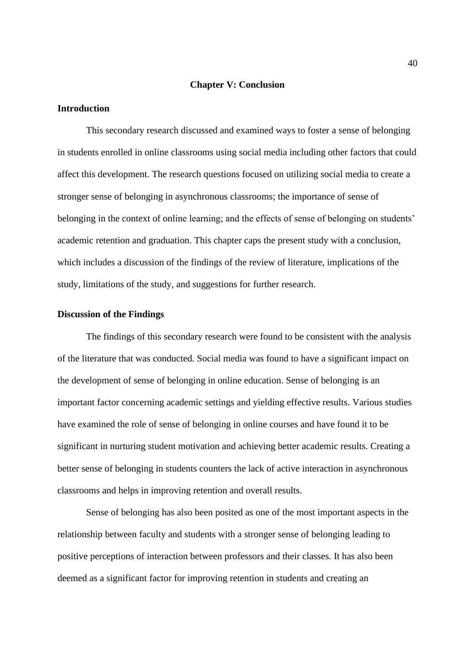#### **Chapter V: Conclusion**

#### **Introduction**

This secondary research discussed and examined ways to foster a sense of belonging in students enrolled in online classrooms using social media including other factors that could affect this development. The research questions focused on utilizing social media to create a stronger sense of belonging in asynchronous classrooms; the importance of sense of belonging in the context of online learning; and the effects of sense of belonging on students' academic retention and graduation. This chapter caps the present study with a conclusion, which includes a discussion of the findings of the review of literature, implications of the study, limitations of the study, and suggestions for further research.

## **Discussion of the Findings**

The findings of this secondary research were found to be consistent with the analysis of the literature that was conducted. Social media was found to have a significant impact on the development of sense of belonging in online education. Sense of belonging is an important factor concerning academic settings and yielding effective results. Various studies have examined the role of sense of belonging in online courses and have found it to be significant in nurturing student motivation and achieving better academic results. Creating a better sense of belonging in students counters the lack of active interaction in asynchronous classrooms and helps in improving retention and overall results.

Sense of belonging has also been posited as one of the most important aspects in the relationship between faculty and students with a stronger sense of belonging leading to positive perceptions of interaction between professors and their classes. It has also been deemed as a significant factor for improving retention in students and creating an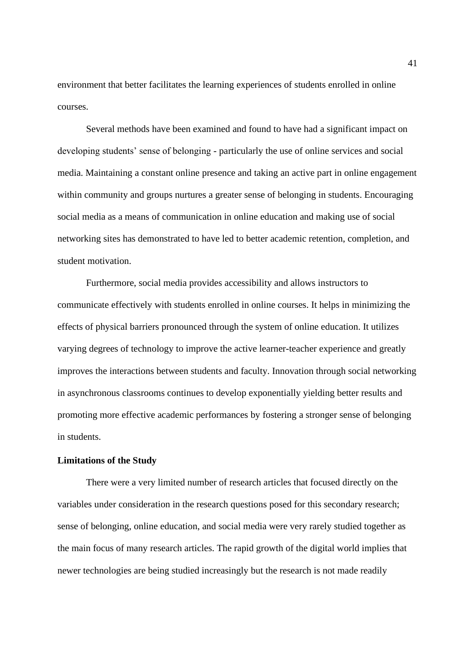environment that better facilitates the learning experiences of students enrolled in online courses.

Several methods have been examined and found to have had a significant impact on developing students' sense of belonging - particularly the use of online services and social media. Maintaining a constant online presence and taking an active part in online engagement within community and groups nurtures a greater sense of belonging in students. Encouraging social media as a means of communication in online education and making use of social networking sites has demonstrated to have led to better academic retention, completion, and student motivation.

Furthermore, social media provides accessibility and allows instructors to communicate effectively with students enrolled in online courses. It helps in minimizing the effects of physical barriers pronounced through the system of online education. It utilizes varying degrees of technology to improve the active learner-teacher experience and greatly improves the interactions between students and faculty. Innovation through social networking in asynchronous classrooms continues to develop exponentially yielding better results and promoting more effective academic performances by fostering a stronger sense of belonging in students.

#### **Limitations of the Study**

There were a very limited number of research articles that focused directly on the variables under consideration in the research questions posed for this secondary research; sense of belonging, online education, and social media were very rarely studied together as the main focus of many research articles. The rapid growth of the digital world implies that newer technologies are being studied increasingly but the research is not made readily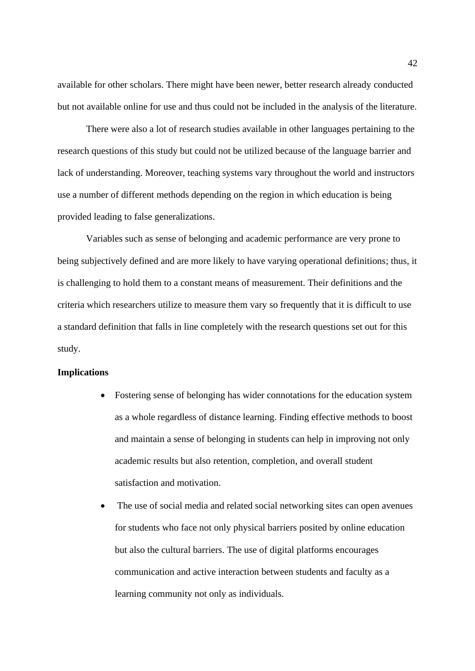available for other scholars. There might have been newer, better research already conducted but not available online for use and thus could not be included in the analysis of the literature.

There were also a lot of research studies available in other languages pertaining to the research questions of this study but could not be utilized because of the language barrier and lack of understanding. Moreover, teaching systems vary throughout the world and instructors use a number of different methods depending on the region in which education is being provided leading to false generalizations.

Variables such as sense of belonging and academic performance are very prone to being subjectively defined and are more likely to have varying operational definitions; thus, it is challenging to hold them to a constant means of measurement. Their definitions and the criteria which researchers utilize to measure them vary so frequently that it is difficult to use a standard definition that falls in line completely with the research questions set out for this study.

#### **Implications**

- Fostering sense of belonging has wider connotations for the education system as a whole regardless of distance learning. Finding effective methods to boost and maintain a sense of belonging in students can help in improving not only academic results but also retention, completion, and overall student satisfaction and motivation.
- The use of social media and related social networking sites can open avenues for students who face not only physical barriers posited by online education but also the cultural barriers. The use of digital platforms encourages communication and active interaction between students and faculty as a learning community not only as individuals.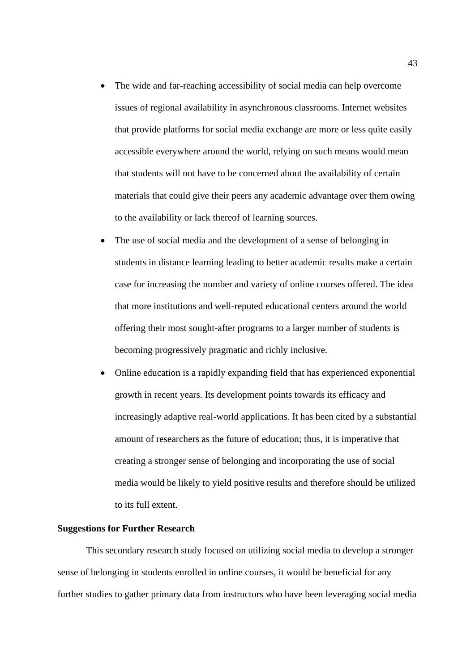- The wide and far-reaching accessibility of social media can help overcome issues of regional availability in asynchronous classrooms. Internet websites that provide platforms for social media exchange are more or less quite easily accessible everywhere around the world, relying on such means would mean that students will not have to be concerned about the availability of certain materials that could give their peers any academic advantage over them owing to the availability or lack thereof of learning sources.
- The use of social media and the development of a sense of belonging in students in distance learning leading to better academic results make a certain case for increasing the number and variety of online courses offered. The idea that more institutions and well-reputed educational centers around the world offering their most sought-after programs to a larger number of students is becoming progressively pragmatic and richly inclusive.
- Online education is a rapidly expanding field that has experienced exponential growth in recent years. Its development points towards its efficacy and increasingly adaptive real-world applications. It has been cited by a substantial amount of researchers as the future of education; thus, it is imperative that creating a stronger sense of belonging and incorporating the use of social media would be likely to yield positive results and therefore should be utilized to its full extent.

## **Suggestions for Further Research**

This secondary research study focused on utilizing social media to develop a stronger sense of belonging in students enrolled in online courses, it would be beneficial for any further studies to gather primary data from instructors who have been leveraging social media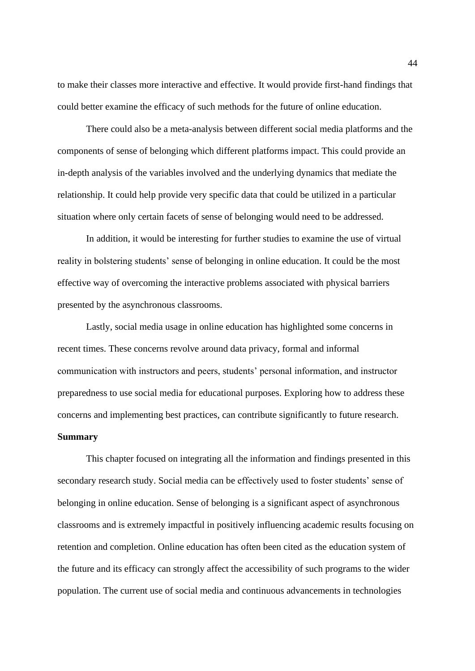to make their classes more interactive and effective. It would provide first-hand findings that could better examine the efficacy of such methods for the future of online education.

There could also be a meta-analysis between different social media platforms and the components of sense of belonging which different platforms impact. This could provide an in-depth analysis of the variables involved and the underlying dynamics that mediate the relationship. It could help provide very specific data that could be utilized in a particular situation where only certain facets of sense of belonging would need to be addressed.

In addition, it would be interesting for further studies to examine the use of virtual reality in bolstering students' sense of belonging in online education. It could be the most effective way of overcoming the interactive problems associated with physical barriers presented by the asynchronous classrooms.

Lastly, social media usage in online education has highlighted some concerns in recent times. These concerns revolve around data privacy, formal and informal communication with instructors and peers, students' personal information, and instructor preparedness to use social media for educational purposes. Exploring how to address these concerns and implementing best practices, can contribute significantly to future research. **Summary**

This chapter focused on integrating all the information and findings presented in this secondary research study. Social media can be effectively used to foster students' sense of belonging in online education. Sense of belonging is a significant aspect of asynchronous classrooms and is extremely impactful in positively influencing academic results focusing on retention and completion. Online education has often been cited as the education system of the future and its efficacy can strongly affect the accessibility of such programs to the wider population. The current use of social media and continuous advancements in technologies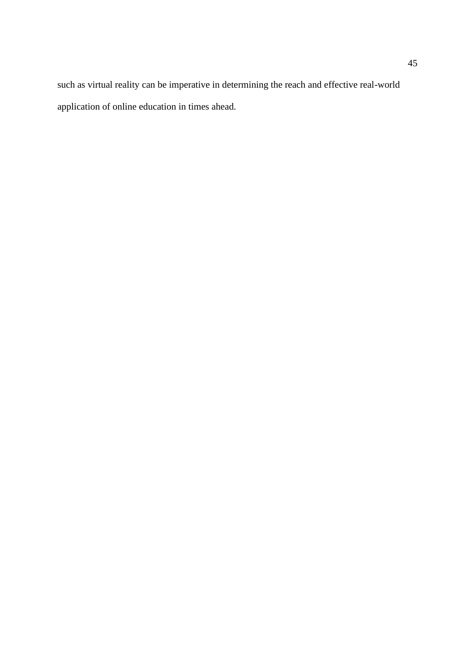such as virtual reality can be imperative in determining the reach and effective real-world application of online education in times ahead.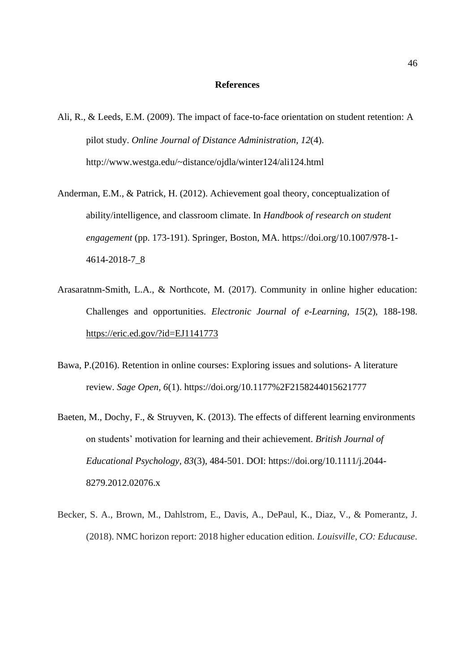#### **References**

- Ali, R., & Leeds, E.M. (2009). The impact of face-to-face orientation on student retention: A pilot study. *Online Journal of Distance Administration*, *12*(4). http://www.westga.edu/~distance/ojdla/winter124/ali124.html
- Anderman, E.M., & Patrick, H. (2012). Achievement goal theory, conceptualization of ability/intelligence, and classroom climate. In *Handbook of research on student engagement* (pp. 173-191). Springer, Boston, MA. https://doi.org/10.1007/978-1- 4614-2018-7\_8
- Arasaratnm-Smith, L.A., & Northcote, M. (2017). Community in online higher education: Challenges and opportunities. *Electronic Journal of e-Learning*, *15*(2), 188-198. <https://eric.ed.gov/?id=EJ1141773>
- Bawa, P.(2016). Retention in online courses: Exploring issues and solutions- A literature review. *Sage Open, 6*(1). https://doi.org/10.1177%2F2158244015621777
- Baeten, M., Dochy, F., & Struyven, K. (2013). The effects of different learning environments on students' motivation for learning and their achievement. *British Journal of Educational Psychology, 83*(3), 484-501. DOI: https://doi.org/10.1111/j.2044- 8279.2012.02076.x
- Becker, S. A., Brown, M., Dahlstrom, E., Davis, A., DePaul, K., Diaz, V., & Pomerantz, J. (2018). NMC horizon report: 2018 higher education edition. *Louisville, CO: Educause*.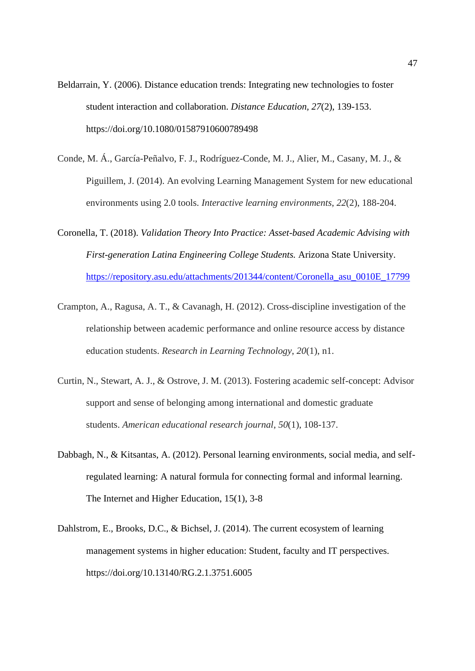- Beldarrain, Y. (2006). Distance education trends: Integrating new technologies to foster student interaction and collaboration. *Distance Education, 27*(2), 139-153. https://doi.org/10.1080/01587910600789498
- Conde, M. Á., García-Peñalvo, F. J., Rodríguez-Conde, M. J., Alier, M., Casany, M. J., & Piguillem, J. (2014). An evolving Learning Management System for new educational environments using 2.0 tools. *Interactive learning environments*, *22*(2), 188-204.
- Coronella, T. (2018). *Validation Theory Into Practice: Asset-based Academic Advising with First-generation Latina Engineering College Students.* Arizona State University. [https://repository.asu.edu/attachments/201344/content/Coronella\\_asu\\_0010E\\_17799](https://repository.asu.edu/attachments/201344/content/Coronella_asu_0010E_17799)
- Crampton, A., Ragusa, A. T., & Cavanagh, H. (2012). Cross-discipline investigation of the relationship between academic performance and online resource access by distance education students. *Research in Learning Technology*, *20*(1), n1.
- Curtin, N., Stewart, A. J., & Ostrove, J. M. (2013). Fostering academic self-concept: Advisor support and sense of belonging among international and domestic graduate students. *American educational research journal*, *50*(1), 108-137.
- Dabbagh, N., & Kitsantas, A. (2012). Personal learning environments, social media, and selfregulated learning: A natural formula for connecting formal and informal learning. The Internet and Higher Education, 15(1), 3-8
- Dahlstrom, E., Brooks, D.C., & Bichsel, J. (2014). The current ecosystem of learning management systems in higher education: Student, faculty and IT perspectives. https://doi.org/10.13140/RG.2.1.3751.6005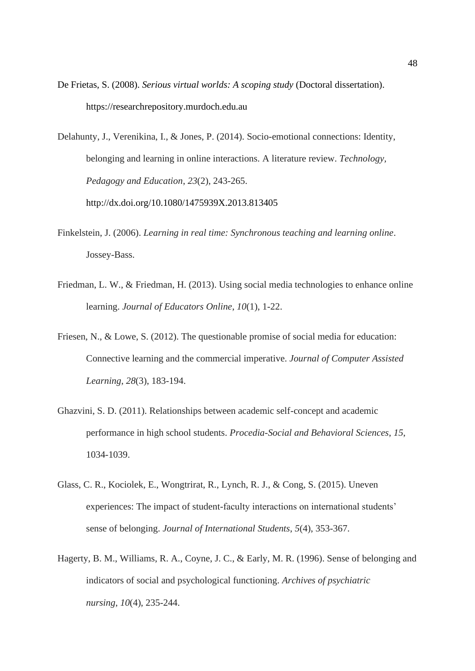De Frietas, S. (2008). *Serious virtual worlds: A scoping study* (Doctoral dissertation). https://researchrepository.murdoch.edu.au

Delahunty, J., Verenikina, I., & Jones, P. (2014). Socio-emotional connections: Identity, belonging and learning in online interactions. A literature review. *Technology, Pedagogy and Education*, *23*(2), 243-265. http://dx.doi.org/10.1080/1475939X.2013.813405

- Finkelstein, J. (2006). *Learning in real time: Synchronous teaching and learning online*. Jossey-Bass.
- Friedman, L. W., & Friedman, H. (2013). Using social media technologies to enhance online learning. *Journal of Educators Online*, *10*(1), 1-22.
- Friesen, N., & Lowe, S. (2012). The questionable promise of social media for education: Connective learning and the commercial imperative. *Journal of Computer Assisted Learning*, *28*(3), 183-194.
- Ghazvini, S. D. (2011). Relationships between academic self-concept and academic performance in high school students. *Procedia-Social and Behavioral Sciences*, *15*, 1034-1039.
- Glass, C. R., Kociolek, E., Wongtrirat, R., Lynch, R. J., & Cong, S. (2015). Uneven experiences: The impact of student-faculty interactions on international students' sense of belonging. *Journal of International Students*, *5*(4), 353-367.
- Hagerty, B. M., Williams, R. A., Coyne, J. C., & Early, M. R. (1996). Sense of belonging and indicators of social and psychological functioning. *Archives of psychiatric nursing*, *10*(4), 235-244.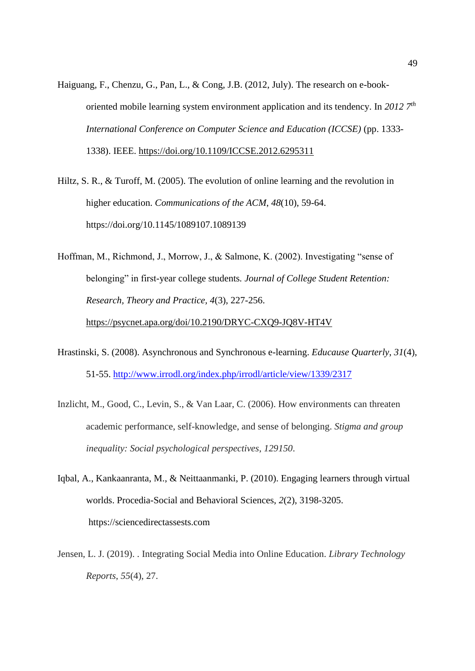- Haiguang, F., Chenzu, G., Pan, L., & Cong, J.B. (2012, July). The research on e-bookoriented mobile learning system environment application and its tendency. In *2012 7th International Conference on Computer Science and Education (ICCSE)* (pp. 1333- 1338). IEEE.<https://doi.org/10.1109/ICCSE.2012.6295311>
- Hiltz, S. R., & Turoff, M. (2005). The evolution of online learning and the revolution in higher education. *Communications of the ACM*, *48*(10), 59-64. https://doi.org/10.1145/1089107.1089139
- Hoffman, M., Richmond, J., Morrow, J., & Salmone, K. (2002). Investigating "sense of belonging" in first-year college students*. Journal of College Student Retention: Research, Theory and Practice, 4*(3), 227-256. <https://psycnet.apa.org/doi/10.2190/DRYC-CXQ9-JQ8V-HT4V>
- Hrastinski, S. (2008). Asynchronous and Synchronous e-learning. *Educause Quarterly*, *31*(4), 51-55.<http://www.irrodl.org/index.php/irrodl/article/view/1339/2317>
- Inzlicht, M., Good, C., Levin, S., & Van Laar, C. (2006). How environments can threaten academic performance, self-knowledge, and sense of belonging. *Stigma and group inequality: Social psychological perspectives*, *129150*.
- Iqbal, A., Kankaanranta, M., & Neittaanmanki, P. (2010). Engaging learners through virtual worlds. Procedia-Social and Behavioral Sciences, *2*(2), 3198-3205. https://sciencedirectassests.com
- Jensen, L. J. (2019). . Integrating Social Media into Online Education. *Library Technology Reports*, *55*(4), 27.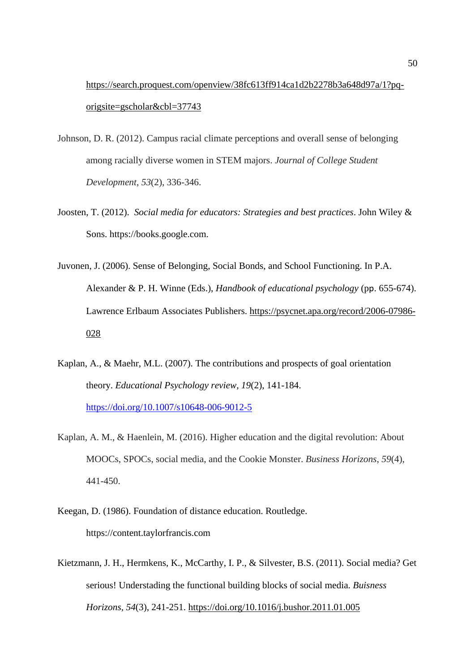[https://search.proquest.com/openview/38fc613ff914ca1d2b2278b3a648d97a/1?pq](https://search.proquest.com/openview/38fc613ff914ca1d2b2278b3a648d97a/1?pq-origsite=gscholar&cbl=37743)[origsite=gscholar&cbl=37743](https://search.proquest.com/openview/38fc613ff914ca1d2b2278b3a648d97a/1?pq-origsite=gscholar&cbl=37743)

- Johnson, D. R. (2012). Campus racial climate perceptions and overall sense of belonging among racially diverse women in STEM majors. *Journal of College Student Development*, *53*(2), 336-346.
- Joosten, T. (2012). *Social media for educators: Strategies and best practices*. John Wiley & Sons. https://books.google.com.
- Juvonen, J. (2006). Sense of Belonging, Social Bonds, and School Functioning. In P.A. Alexander & P. H. Winne (Eds.), *Handbook of educational psychology* (pp. 655-674). Lawrence Erlbaum Associates Publishers. [https://psycnet.apa.org/record/2006-07986-](https://psycnet.apa.org/record/2006-07986-028) [028](https://psycnet.apa.org/record/2006-07986-028)
- Kaplan, A., & Maehr, M.L. (2007). The contributions and prospects of goal orientation theory. *Educational Psychology review, 19*(2), 141-184. <https://doi.org/10.1007/s10648-006-9012-5>
- Kaplan, A. M., & Haenlein, M. (2016). Higher education and the digital revolution: About MOOCs, SPOCs, social media, and the Cookie Monster. *Business Horizons*, *59*(4), 441-450.
- Keegan, D. (1986). Foundation of distance education. Routledge. https://content.taylorfrancis.com
- Kietzmann, J. H., Hermkens, K., McCarthy, I. P., & Silvester, B.S. (2011). Social media? Get serious! Understading the functional building blocks of social media. *Buisness Horizons, 54*(3), 241-251.<https://doi.org/10.1016/j.bushor.2011.01.005>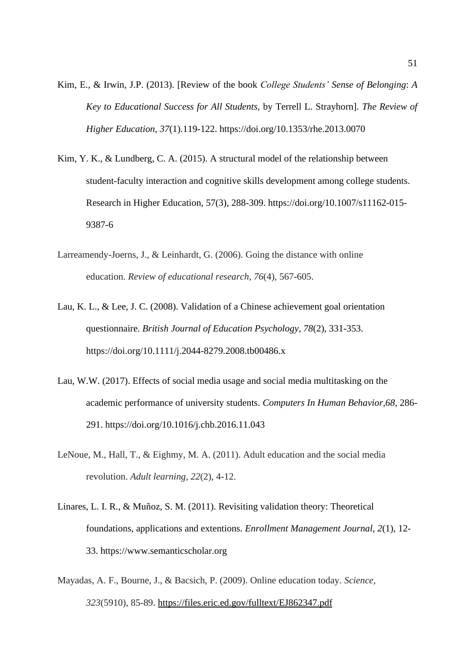- Kim, E., & Irwin, J.P. (2013). [Review of the book *College Students' Sense of Belonging*: *A Key to Educational Success for All Students,* by Terrell L. Strayhorn]. *The Review of Higher Education*, *37*(1).119-122. https://doi.org/10.1353/rhe.2013.0070
- Kim, Y. K., & Lundberg, C. A. (2015). A structural model of the relationship between student-faculty interaction and cognitive skills development among college students. Research in Higher Education, 57(3), 288-309. https://doi.org/10.1007/s11162-015- 9387-6
- Larreamendy-Joerns, J., & Leinhardt, G. (2006). Going the distance with online education. *Review of educational research*, *76*(4), 567-605.
- Lau, K. L., & Lee, J. C. (2008). Validation of a Chinese achievement goal orientation questionnaire. *British Journal of Education Psychology, 78*(2), 331-353. https://doi.org/10.1111/j.2044-8279.2008.tb00486.x
- Lau, W.W. (2017). Effects of social media usage and social media multitasking on the academic performance of university students. *Computers In Human Behavior,68,* 286- 291. https://doi.org/10.1016/j.chb.2016.11.043
- LeNoue, M., Hall, T., & Eighmy, M. A. (2011). Adult education and the social media revolution. *Adult learning*, *22*(2), 4-12.
- Linares, L. I. R., & Muñoz, S. M. (2011). Revisiting validation theory: Theoretical foundations, applications and extentions*. Enrollment Management Journal, 2*(1), 12- 33. https://www.semanticscholar.org
- Mayadas, A. F., Bourne, J., & Bacsich, P. (2009). Online education today. *Science, 323*(5910), 85-89.<https://files.eric.ed.gov/fulltext/EJ862347.pdf>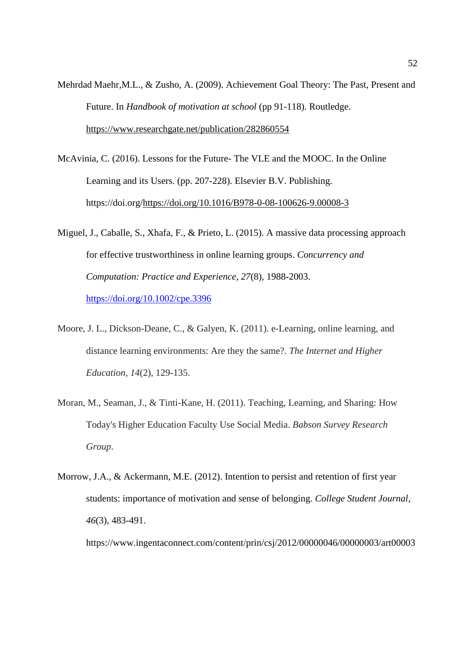- Mehrdad Maehr,M.L., & Zusho, A. (2009). Achievement Goal Theory: The Past, Present and Future. In *Handbook of motivation at school* (pp 91-118). Routledge. <https://www.researchgate.net/publication/282860554>
- McAvinia, C. (2016). Lessons for the Future- The VLE and the MOOC. In the Online Learning and its Users. (pp. 207-228). Elsevier B.V. Publishing. https://doi.org[/https://doi.org/10.1016/B978-0-08-100626-9.00008-3](https://doi.org/10.1016/B978-0-08-100626-9.00008-3)
- Miguel, J., Caballe, S., Xhafa, F., & Prieto, L. (2015). A massive data processing approach for effective trustworthiness in online learning groups. *Concurrency and Computation: Practice and Experience, 27*(8), 1988-2003. <https://doi.org/10.1002/cpe.3396>
- Moore, J. L., Dickson-Deane, C., & Galyen, K. (2011). e-Learning, online learning, and distance learning environments: Are they the same?. *The Internet and Higher Education*, *14*(2), 129-135.
- Moran, M., Seaman, J., & Tinti-Kane, H. (2011). Teaching, Learning, and Sharing: How Today's Higher Education Faculty Use Social Media. *Babson Survey Research Group*.
- Morrow, J.A., & Ackermann, M.E. (2012). Intention to persist and retention of first year students: importance of motivation and sense of belonging. *College Student Journal*, *46*(3), 483-491.

https://www.ingentaconnect.com/content/prin/csj/2012/00000046/00000003/art00003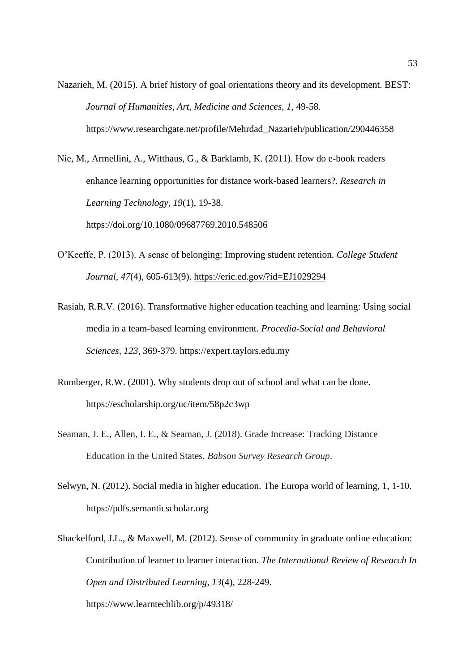Nazarieh, M. (2015). A brief history of goal orientations theory and its development. BEST: *Journal of Humanities, Art, Medicine and Sciences, 1,* 49-58. https://www.researchgate.net/profile/Mehrdad\_Nazarieh/publication/290446358

Nie, M., Armellini, A., Witthaus, G., & Barklamb, K. (2011). How do e-book readers enhance learning opportunities for distance work-based learners?. *Research in Learning Technology, 19*(1), 19-38. https://doi.org/10.1080/09687769.2010.548506

- O'Keeffe, P. (2013). A sense of belonging: Improving student retention. *College Student Journal, 47*(4), 605-613(9).<https://eric.ed.gov/?id=EJ1029294>
- Rasiah, R.R.V. (2016). Transformative higher education teaching and learning: Using social media in a team-based learning environment. *Procedia-Social and Behavioral Sciences, 123,* 369-379. https://expert.taylors.edu.my
- Rumberger, R.W. (2001). Why students drop out of school and what can be done. https://escholarship.org/uc/item/58p2c3wp
- Seaman, J. E., Allen, I. E., & Seaman, J. (2018). Grade Increase: Tracking Distance Education in the United States. *Babson Survey Research Group*.
- Selwyn, N. (2012). Social media in higher education. The Europa world of learning, 1, 1-10. https://pdfs.semanticscholar.org
- Shackelford, J.L., & Maxwell, M. (2012). Sense of community in graduate online education: Contribution of learner to learner interaction. *The International Review of Research In Open and Distributed Learning, 13*(4), 228-249. https://www.learntechlib.org/p/49318/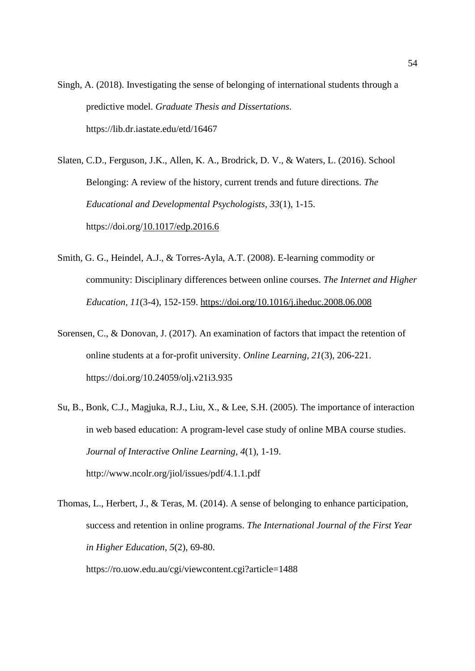Singh, A. (2018). Investigating the sense of belonging of international students through a predictive model. *Graduate Thesis and Dissertations*. https://lib.dr.iastate.edu/etd/16467

Slaten, C.D., Ferguson, J.K., Allen, K. A., Brodrick, D. V., & Waters, L. (2016). School Belonging: A review of the history, current trends and future directions. *The Educational and Developmental Psychologists, 33*(1), 1-15. https://doi.org[/10.1017/edp.2016.6](https://www.researchgate.net/deref/http%3A%2F%2Fdx.doi.org%2F10.1017%2Fedp.2016.6)

- Smith, G. G., Heindel, A.J., & Torres-Ayla, A.T. (2008). E-learning commodity or community: Disciplinary differences between online courses. *The Internet and Higher Education, 11*(3-4), 152-159.<https://doi.org/10.1016/j.iheduc.2008.06.008>
- Sorensen, C., & Donovan, J. (2017). An examination of factors that impact the retention of online students at a for-profit university. *Online Learning, 21*(3), 206-221. https://doi.org/10.24059/olj.v21i3.935
- Su, B., Bonk, C.J., Magjuka, R.J., Liu, X., & Lee, S.H. (2005). The importance of interaction in web based education: A program-level case study of online MBA course studies. *Journal of Interactive Online Learning, 4*(1), 1-19. http://www.ncolr.org/jiol/issues/pdf/4.1.1.pdf
- Thomas, L., Herbert, J., & Teras, M. (2014). A sense of belonging to enhance participation, success and retention in online programs. *The International Journal of the First Year in Higher Education, 5*(2), 69-80.

https://ro.uow.edu.au/cgi/viewcontent.cgi?article=1488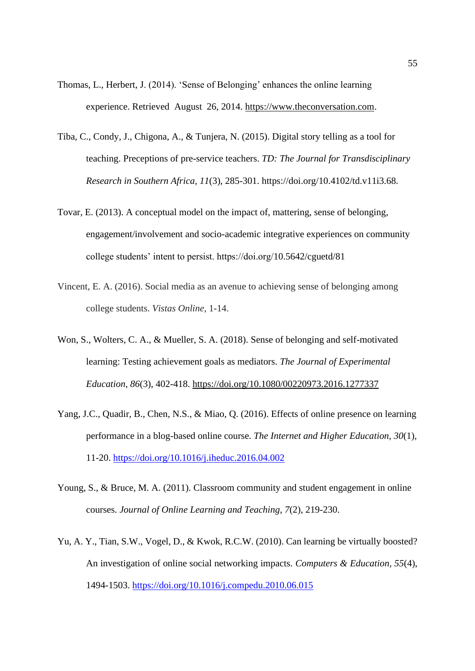- Thomas, L., Herbert, J. (2014). 'Sense of Belonging' enhances the online learning experience. Retrieved August 26, 2014. [https://www.theconversation.com.](https://www.theconversation.com/)
- Tiba, C., Condy, J., Chigona, A., & Tunjera, N. (2015). Digital story telling as a tool for teaching. Preceptions of pre-service teachers. *TD: The Journal for Transdisciplinary Research in Southern Africa, 11*(3), 285-301. https://doi.org/10.4102/td.v11i3.68.
- Tovar, E. (2013). A conceptual model on the impact of, mattering, sense of belonging, engagement/involvement and socio-academic integrative experiences on community college students' intent to persist. https://doi.org/10.5642/cguetd/81
- Vincent, E. A. (2016). Social media as an avenue to achieving sense of belonging among college students. *Vistas Online*, 1-14.
- Won, S., Wolters, C. A., & Mueller, S. A. (2018). Sense of belonging and self-motivated learning: Testing achievement goals as mediators. *The Journal of Experimental Education, 86*(3), 402-418.<https://doi.org/10.1080/00220973.2016.1277337>
- Yang, J.C., Quadir, B., Chen, N.S., & Miao, Q. (2016). Effects of online presence on learning performance in a blog-based online course. *The Internet and Higher Education, 30*(1)*,* 11-20.<https://doi.org/10.1016/j.iheduc.2016.04.002>
- Young, S., & Bruce, M. A. (2011). Classroom community and student engagement in online courses. *Journal of Online Learning and Teaching*, *7*(2), 219-230.
- Yu, A. Y., Tian, S.W., Vogel, D., & Kwok, R.C.W. (2010). Can learning be virtually boosted? An investigation of online social networking impacts. *Computers & Education, 55*(4), 1494-1503.<https://doi.org/10.1016/j.compedu.2010.06.015>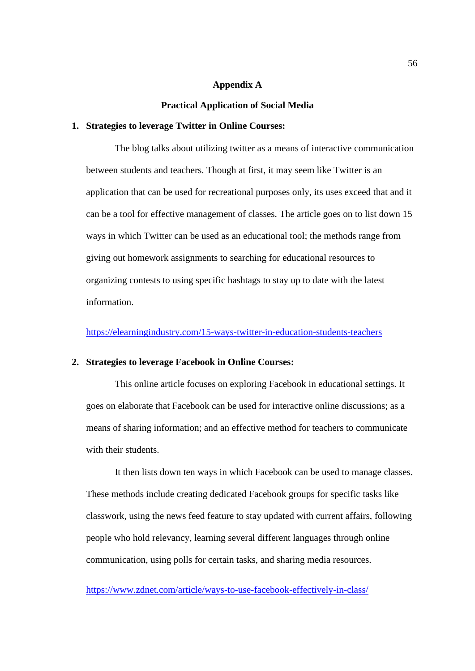#### **Appendix A**

#### **Practical Application of Social Media**

## **1. Strategies to leverage Twitter in Online Courses:**

The blog talks about utilizing twitter as a means of interactive communication between students and teachers. Though at first, it may seem like Twitter is an application that can be used for recreational purposes only, its uses exceed that and it can be a tool for effective management of classes. The article goes on to list down 15 ways in which Twitter can be used as an educational tool; the methods range from giving out homework assignments to searching for educational resources to organizing contests to using specific hashtags to stay up to date with the latest information.

<https://elearningindustry.com/15-ways-twitter-in-education-students-teachers>

#### **2. Strategies to leverage Facebook in Online Courses:**

This online article focuses on exploring Facebook in educational settings. It goes on elaborate that Facebook can be used for interactive online discussions; as a means of sharing information; and an effective method for teachers to communicate with their students.

It then lists down ten ways in which Facebook can be used to manage classes. These methods include creating dedicated Facebook groups for specific tasks like classwork, using the news feed feature to stay updated with current affairs, following people who hold relevancy, learning several different languages through online communication, using polls for certain tasks, and sharing media resources.

<https://www.zdnet.com/article/ways-to-use-facebook-effectively-in-class/>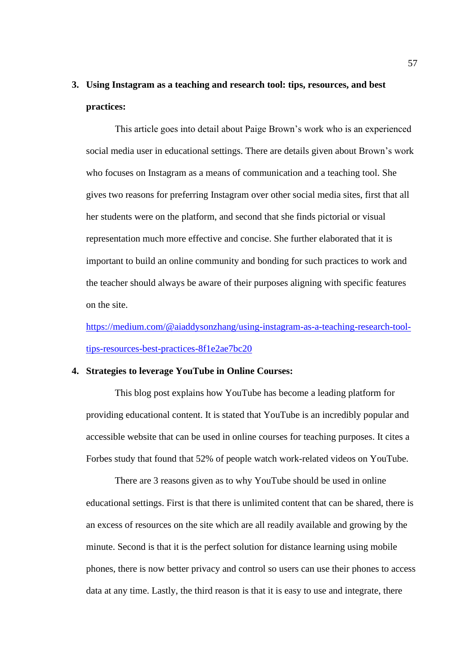# **3. Using Instagram as a teaching and research tool: tips, resources, and best practices:**

This article goes into detail about Paige Brown's work who is an experienced social media user in educational settings. There are details given about Brown's work who focuses on Instagram as a means of communication and a teaching tool. She gives two reasons for preferring Instagram over other social media sites, first that all her students were on the platform, and second that she finds pictorial or visual representation much more effective and concise. She further elaborated that it is important to build an online community and bonding for such practices to work and the teacher should always be aware of their purposes aligning with specific features on the site.

[https://medium.com/@aiaddysonzhang/using-instagram-as-a-teaching-research-tool](https://medium.com/@aiaddysonzhang/using-instagram-as-a-teaching-research-tool-tips-resources-best-practices-8f1e2ae7bc20)[tips-resources-best-practices-8f1e2ae7bc20](https://medium.com/@aiaddysonzhang/using-instagram-as-a-teaching-research-tool-tips-resources-best-practices-8f1e2ae7bc20)

#### **4. Strategies to leverage YouTube in Online Courses:**

This blog post explains how YouTube has become a leading platform for providing educational content. It is stated that YouTube is an incredibly popular and accessible website that can be used in online courses for teaching purposes. It cites a Forbes study that found that 52% of people watch work-related videos on YouTube.

There are 3 reasons given as to why YouTube should be used in online educational settings. First is that there is unlimited content that can be shared, there is an excess of resources on the site which are all readily available and growing by the minute. Second is that it is the perfect solution for distance learning using mobile phones, there is now better privacy and control so users can use their phones to access data at any time. Lastly, the third reason is that it is easy to use and integrate, there